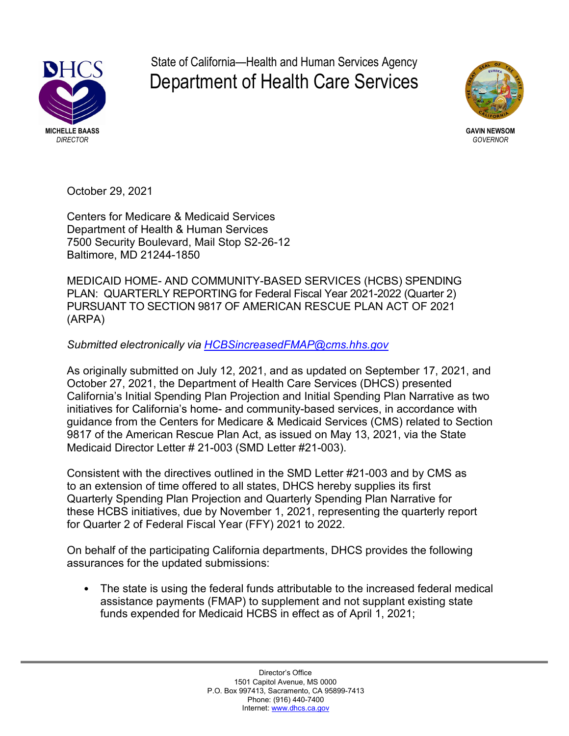

State of California—Health and Human Services Agency Department of Health Care Services



October 29, 2021

Centers for Medicare & Medicaid Services Department of Health & Human Services 7500 Security Boulevard, Mail Stop S2-26-12 Baltimore, MD 21244-1850

MEDICAID HOME- AND COMMUNITY-BASED SERVICES (HCBS) SPENDING PLAN: QUARTERLY REPORTING for Federal Fiscal Year 2021-2022 (Quarter 2) PURSUANT TO SECTION 9817 OF AMERICAN RESCUE PLAN ACT OF 2021 (ARPA)

*Submitted electronically via [HCBSincreasedFMAP@cms.hhs.gov](mailto:HCBSincreasedFMAP@cms.hhs.gov)*

As originally submitted on July 12, 2021, and as updated on September 17, 2021, and October 27, 2021, the Department of Health Care Services (DHCS) presented California's Initial Spending Plan Projection and Initial Spending Plan Narrative as two initiatives for California's home- and community-based services, in accordance with guidance from the Centers for Medicare & Medicaid Services (CMS) related to Section 9817 of the American Rescue Plan Act, as issued on May 13, 2021, via the State Medicaid Director Letter # 21-003 (SMD Letter #21-003).

Consistent with the directives outlined in the SMD Letter #21-003 and by CMS as to an extension of time offered to all states, DHCS hereby supplies its first Quarterly Spending Plan Projection and Quarterly Spending Plan Narrative for these HCBS initiatives, due by November 1, 2021, representing the quarterly report for Quarter 2 of Federal Fiscal Year (FFY) 2021 to 2022.

On behalf of the participating California departments, DHCS provides the following assurances for the updated submissions:

• The state is using the federal funds attributable to the increased federal medical assistance payments (FMAP) to supplement and not supplant existing state funds expended for Medicaid HCBS in effect as of April 1, 2021;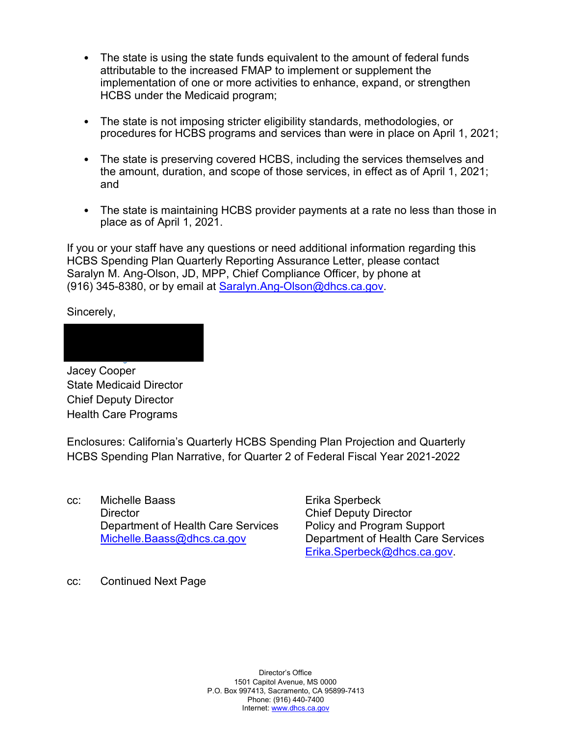- The state is using the state funds equivalent to the amount of federal funds attributable to the increased FMAP to implement or supplement the implementation of one or more activities to enhance, expand, or strengthen HCBS under the Medicaid program;
- The state is not imposing stricter eligibility standards, methodologies, or procedures for HCBS programs and services than were in place on April 1, 2021;
- The state is preserving covered HCBS, including the services themselves and the amount, duration, and scope of those services, in effect as of April 1, 2021; and
- The state is maintaining HCBS provider payments at a rate no less than those in place as of April 1, 2021.

If you or your staff have any questions or need additional information regarding this HCBS Spending Plan Quarterly Reporting Assurance Letter, please contact Saralyn M. Ang-Olson, JD, MPP, Chief Compliance Officer, by phone at (916) 345-8380, or by email at [Saralyn.Ang-Olson@dhcs.ca.gov.](mailto:Saralyn.Ang-Olson@dhcs.ca.gov)

Sincerely,

Jacey Cooper State Medicaid Director Chief Deputy Director Health Care Programs

Enclosures: California's Quarterly HCBS Spending Plan Projection and Quarterly HCBS Spending Plan Narrative, for Quarter 2 of Federal Fiscal Year 2021-2022

cc: Michelle Baass **Director** Department of Health Care Services [Michelle.Baass@dhcs.ca.gov](mailto:Michelle.Baass@dhcs.ca.gov)

Erika Sperbeck Chief Deputy Director Policy and Program Support Department of Health Care Services [Erika.Sperbeck@dhcs.ca.gov.](mailto:Erika.Sperbeck@dhcs.ca.gov)

cc: Continued Next Page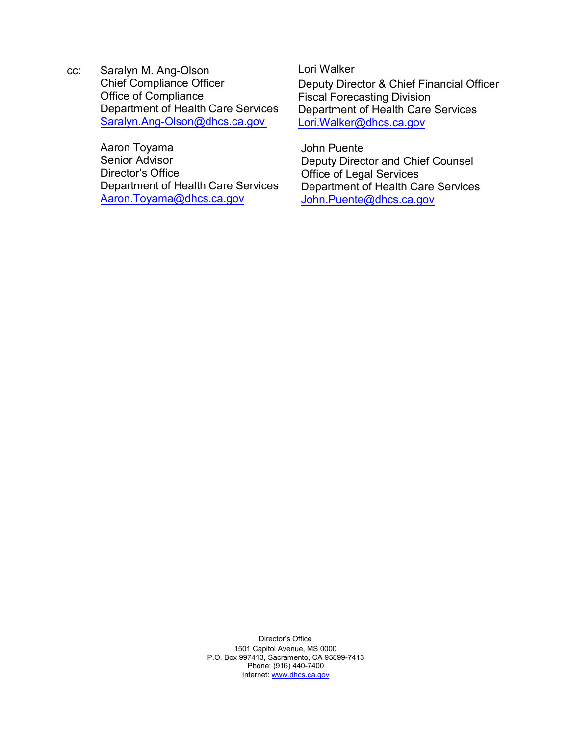cc: Saralyn M. Ang-Olson Chief Compliance Officer Office of Compliance Department of Health Care Services [Saralyn.Ang-Olson@dhcs.ca.gov](mailto:Saralyn.Ang-Olson@dhcs.ca.gov)

> Aaron Toyama Senior Advisor Director's Office Department of Health Care Services [Aaron.Toyama@dhcs.ca.gov](mailto:Aaron.Toyama@dhcs.ca.gov)

Lori Walker

Deputy Director & Chief Financial Officer Fiscal Forecasting Division Department of Health Care Services [Lori.Walker@dhcs.ca.gov](mailto:Lori.Walker@dhcs.ca.gov)

John Puente Deputy Director and Chief Counsel Office of Legal Services Department of Health Care Services [John.Puente@dhcs.ca.gov](mailto:John.Puente@dhcs.ca.gov)

Director's Office 1501 Capitol Avenue, MS 0000 P.O. Box 997413, Sacramento, CA 95899-7413 Phone: (916) 440-7400 Internet: www.dhcs.ca.gov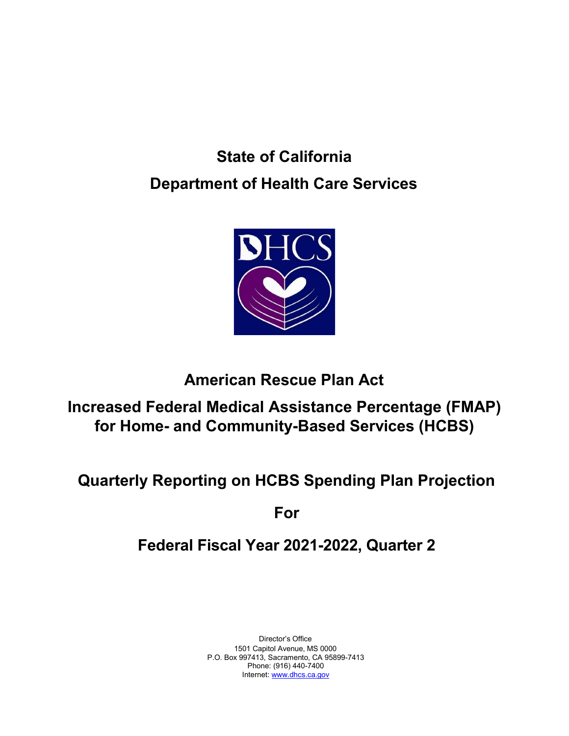# **State of California Department of Health Care Services**



# **American Rescue Plan Act**

**Increased Federal Medical Assistance Percentage (FMAP) for Home- and Community-Based Services (HCBS)**

# **Quarterly Reporting on HCBS Spending Plan Projection**

**For**

# **Federal Fiscal Year 2021-2022, Quarter 2**

Director's Office 1501 Capitol Avenue, MS 0000 P.O. Box 997413, Sacramento, CA 95899-7413 Phone: (916) 440-7400 Internet: www.dhcs.ca.gov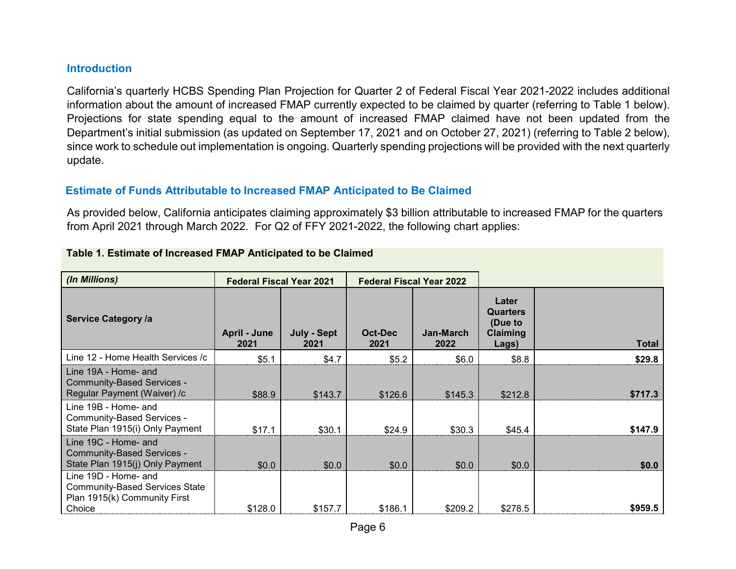#### **Introduction**

California's quarterly HCBS Spending Plan Projection for Quarter 2 of Federal Fiscal Year 2021-2022 includes additional information about the amount of increased FMAP currently expected to be claimed by quarter (referring to Table 1 below). Projections for state spending equal to the amount of increased FMAP claimed have not been updated from the Department's initial submission (as updated on September 17, 2021 and on October 27, 2021) (referring to Table 2 below), since work to schedule out implementation is ongoing. Quarterly spending projections will be provided with the next quarterly update.

#### **Estimate of Funds Attributable to Increased FMAP Anticipated to Be Claimed**

As provided below, California anticipates claiming approximately \$3 billion attributable to increased FMAP for the quarters from April 2021 through March 2022. For Q2 of FFY 2021-2022, the following chart applies:

| (In Millions)                                                                                                                           | <b>Federal Fiscal Year 2021</b> |                     | <b>Federal Fiscal Year 2022</b> |                   |                                                          |         |
|-----------------------------------------------------------------------------------------------------------------------------------------|---------------------------------|---------------------|---------------------------------|-------------------|----------------------------------------------------------|---------|
| Service Category /a                                                                                                                     | April - June<br>2021            | July - Sept<br>2021 | Oct-Dec<br>2021                 | Jan-March<br>2022 | Later<br><b>Quarters</b><br>(Due to<br>Claiming<br>Lags) | Total   |
| Line 12 - Home Health Services /c                                                                                                       | \$5.1                           | \$4.7               | \$5.2                           | \$6.0             | \$8.8                                                    | \$29.8  |
| Line 19A - Home- and<br>Community-Based Services -<br>Regular Payment (Waiver) /c<br>Line 19B - Home- and<br>Community-Based Services - | \$88.9                          | \$143.7             | \$126.6                         | \$145.3           | \$212.8                                                  | \$717.3 |
| State Plan 1915(i) Only Payment                                                                                                         | \$17.1                          | \$30.1              | \$24.9                          | \$30.3            | \$45.4                                                   | \$147.9 |
| Line 19C - Home- and<br>Community-Based Services -<br>State Plan 1915(j) Only Payment                                                   | \$0.0                           | \$0.0\$             | \$0.0                           | \$0.0             | \$0.0                                                    | \$0.0   |
| Line 19D - Home- and<br><b>Community-Based Services State</b><br>Plan 1915(k) Community First<br>Choice                                 | \$128.0                         | \$157.7             | \$186.1                         | \$209.2           | \$278.5                                                  | \$959.5 |

#### **Table 1. Estimate of Increased FMAP Anticipated to be Claimed**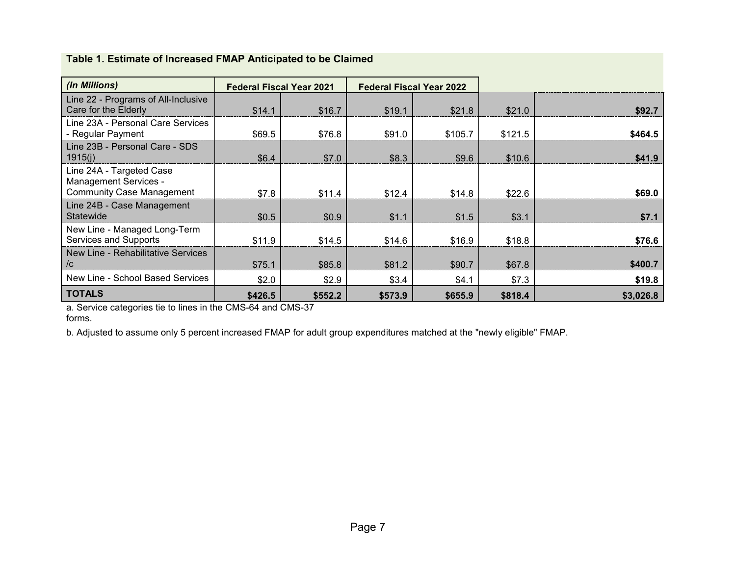| (In Millions)                                                                                | <b>Federal Fiscal Year 2021</b> |         | <b>Federal Fiscal Year 2022</b> |         |         |           |
|----------------------------------------------------------------------------------------------|---------------------------------|---------|---------------------------------|---------|---------|-----------|
| Line 22 - Programs of All-Inclusive<br>Care for the Elderly                                  | \$14.1                          | \$16.7  | \$19.1                          | \$21.8  | \$21.0  | \$92.7    |
| Line 23A - Personal Care Services<br>- Regular Payment                                       | \$69.5                          | \$76.8  | \$91.0                          | \$105.7 | \$121.5 | \$464.5   |
| Line 23B - Personal Care - SDS<br>1915(i)                                                    | \$6.4                           | \$7.0   | \$8.3                           | \$9.6   | \$10.6  | \$41.9    |
| Line 24A - Targeted Case<br><b>Management Services -</b><br><b>Community Case Management</b> | \$7.8                           | \$11.4  | \$12.4                          | \$14.8  | \$22.6  | \$69.0    |
| Line 24B - Case Management<br>Statewide                                                      | \$0.5                           | \$0.9   | \$1.1                           | \$1.5   | \$3.1   | \$7.1     |
| New Line - Managed Long-Term<br>Services and Supports                                        | \$11.9                          | \$14.5  | \$14.6                          | \$16.9  | \$18.8  | \$76.6    |
| New Line - Rehabilitative Services<br>$  \ /c$                                               | \$75.1                          | \$85.8  | \$81.2                          | \$90.7  | \$67.8  | \$400.7   |
| New Line - School Based Services                                                             | \$2.0                           | \$2.9   | \$3.4                           | \$4.1   | \$7.3   | \$19.8    |
| <b>TOTALS</b>                                                                                | \$426.5                         | \$552.2 | \$573.9                         | \$655.9 | \$818.4 | \$3,026.8 |

**Table 1. Estimate of Increased FMAP Anticipated to be Claimed**

a. Service categories tie to lines in the CMS-64 and CMS-37 forms.

b. Adjusted to assume only 5 percent increased FMAP for adult group expenditures matched at the "newly eligible" FMAP.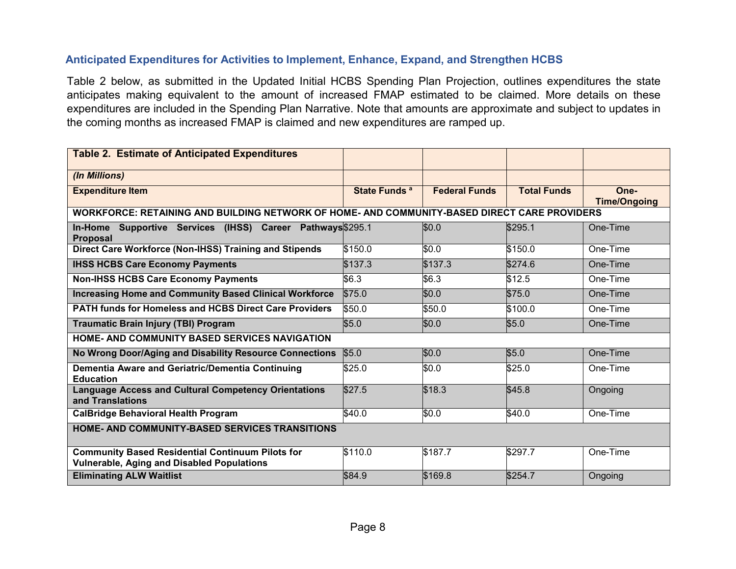#### **Anticipated Expenditures for Activities to Implement, Enhance, Expand, and Strengthen HCBS**

Table 2 below, as submitted in the Updated Initial HCBS Spending Plan Projection, outlines expenditures the state anticipates making equivalent to the amount of increased FMAP estimated to be claimed. More details on these expenditures are included in the Spending Plan Narrative. Note that amounts are approximate and subject to updates in the coming months as increased FMAP is claimed and new expenditures are ramped up.

| <b>Table 2. Estimate of Anticipated Expenditures</b>                                                         |                          |                      |                    |                             |  |  |
|--------------------------------------------------------------------------------------------------------------|--------------------------|----------------------|--------------------|-----------------------------|--|--|
| (In Millions)                                                                                                |                          |                      |                    |                             |  |  |
| <b>Expenditure Item</b>                                                                                      | State Funds <sup>a</sup> | <b>Federal Funds</b> | <b>Total Funds</b> | One-<br><b>Time/Ongoing</b> |  |  |
| WORKFORCE: RETAINING AND BUILDING NETWORK OF HOME- AND COMMUNITY-BASED DIRECT CARE PROVIDERS                 |                          |                      |                    |                             |  |  |
| Supportive Services (IHSS) Career Pathways \$295.1<br>In-Home<br>Proposal                                    |                          | \$0.0                | \$295.1            | One-Time                    |  |  |
| Direct Care Workforce (Non-IHSS) Training and Stipends                                                       | \$150.0                  | \$0.0                | \$150.0            | One-Time                    |  |  |
| <b>IHSS HCBS Care Economy Payments</b>                                                                       | \$137.3                  | \$137.3              | \$274.6            | One-Time                    |  |  |
| <b>Non-IHSS HCBS Care Economy Payments</b>                                                                   | \$6.3                    | \$6.3                | \$12.5             | One-Time                    |  |  |
| <b>Increasing Home and Community Based Clinical Workforce</b>                                                | \$75.0                   | \$0.0                | \$75.0             | One-Time                    |  |  |
| <b>PATH funds for Homeless and HCBS Direct Care Providers</b>                                                | \$50.0                   | \$50.0               | \$100.0            | One-Time                    |  |  |
| <b>Traumatic Brain Injury (TBI) Program</b>                                                                  | \$5.0                    | \$0.0                | \$5.0              | One-Time                    |  |  |
| <b>HOME- AND COMMUNITY BASED SERVICES NAVIGATION</b>                                                         |                          |                      |                    |                             |  |  |
| No Wrong Door/Aging and Disability Resource Connections                                                      | \$5.0                    | \$0.0                | \$5.0              | One-Time                    |  |  |
| Dementia Aware and Geriatric/Dementia Continuing<br><b>Education</b>                                         | \$25.0                   | \$0.0                | \$25.0             | One-Time                    |  |  |
| <b>Language Access and Cultural Competency Orientations</b><br>and Translations                              | \$27.5                   | \$18.3               | \$45.8             | Ongoing                     |  |  |
| <b>CalBridge Behavioral Health Program</b>                                                                   | \$40.0                   | \$0.0                | \$40.0             | One-Time                    |  |  |
| HOME- AND COMMUNITY-BASED SERVICES TRANSITIONS                                                               |                          |                      |                    |                             |  |  |
| <b>Community Based Residential Continuum Pilots for</b><br><b>Vulnerable, Aging and Disabled Populations</b> | \$110.0                  | \$187.7              | \$297.7            | One-Time                    |  |  |
| <b>Eliminating ALW Waitlist</b>                                                                              | \$84.9                   | \$169.8              | \$254.7            | Ongoing                     |  |  |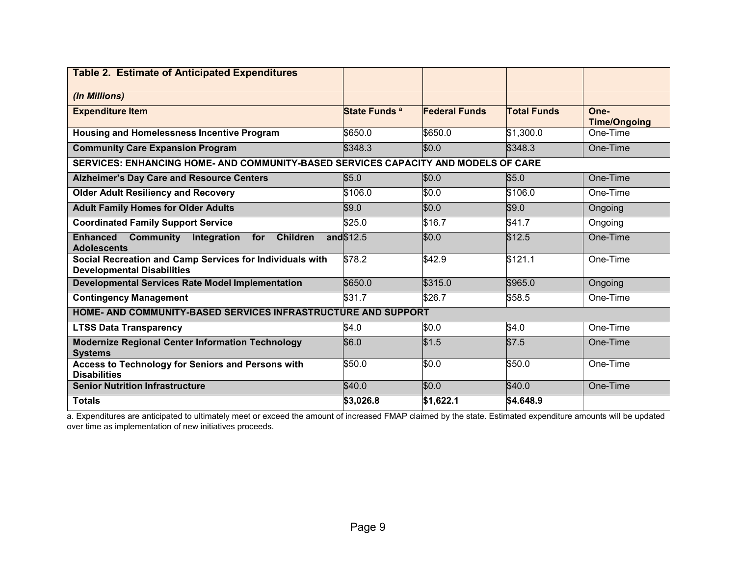| <b>Table 2. Estimate of Anticipated Expenditures</b>                                               |                          |                      |                    |                             |  |  |
|----------------------------------------------------------------------------------------------------|--------------------------|----------------------|--------------------|-----------------------------|--|--|
| (In Millions)                                                                                      |                          |                      |                    |                             |  |  |
| <b>Expenditure Item</b>                                                                            | State Funds <sup>a</sup> | <b>Federal Funds</b> | <b>Total Funds</b> | One-<br><b>Time/Ongoing</b> |  |  |
| <b>Housing and Homelessness Incentive Program</b>                                                  | \$650.0                  | \$650.0              | \$1,300.0          | One-Time                    |  |  |
| <b>Community Care Expansion Program</b>                                                            | \$348.3                  | \$0.0                | \$348.3            | One-Time                    |  |  |
| SERVICES: ENHANCING HOME- AND COMMUNITY-BASED SERVICES CAPACITY AND MODELS OF CARE                 |                          |                      |                    |                             |  |  |
| <b>Alzheimer's Day Care and Resource Centers</b>                                                   | \$5.0                    | \$0.0                | \$5.0              | One-Time                    |  |  |
| <b>Older Adult Resiliency and Recovery</b>                                                         | \$106.0                  | \$0.0                | \$106.0            | One-Time                    |  |  |
| <b>Adult Family Homes for Older Adults</b>                                                         | \$9.0                    | \$0.0                | \$9.0              | Ongoing                     |  |  |
| <b>Coordinated Family Support Service</b>                                                          | \$25.0                   | \$16.7               | \$41.7             | Ongoing                     |  |  |
| <b>Community</b><br>Integration<br><b>Children</b><br><b>Enhanced</b><br>for<br><b>Adolescents</b> | and \$12.5               | \$0.0                | \$12.5             | One-Time                    |  |  |
| Social Recreation and Camp Services for Individuals with<br><b>Developmental Disabilities</b>      | \$78.2                   | $\sqrt{3}42.9$       | \$121.1            | One-Time                    |  |  |
| <b>Developmental Services Rate Model Implementation</b>                                            | \$650.0                  | \$315.0              | \$965.0            | Ongoing                     |  |  |
| <b>Contingency Management</b>                                                                      | 531.7                    | \$26.7               | \$58.5             | One-Time                    |  |  |
| HOME- AND COMMUNITY-BASED SERVICES INFRASTRUCTURE AND SUPPORT                                      |                          |                      |                    |                             |  |  |
| <b>LTSS Data Transparency</b>                                                                      | \$4.0                    | \$0.0                | \$4.0              | One-Time                    |  |  |
| <b>Modernize Regional Center Information Technology</b><br><b>Systems</b>                          | \$6.0                    | \$1.5                | $\overline{\$7.5}$ | One-Time                    |  |  |
| Access to Technology for Seniors and Persons with<br><b>Disabilities</b>                           | 550.0                    | \$0.0                | \$50.0             | One-Time                    |  |  |
| <b>Senior Nutrition Infrastructure</b>                                                             | \$40.0                   | \$0.0                | \$40.0             | One-Time                    |  |  |
| <b>Totals</b>                                                                                      | \$3,026.8                | \$1,622.1            | \$4.648.9          |                             |  |  |

a. Expenditures are anticipated to ultimately meet or exceed the amount of increased FMAP claimed by the state. Estimated expenditure amounts will be updated over time as implementation of new initiatives proceeds.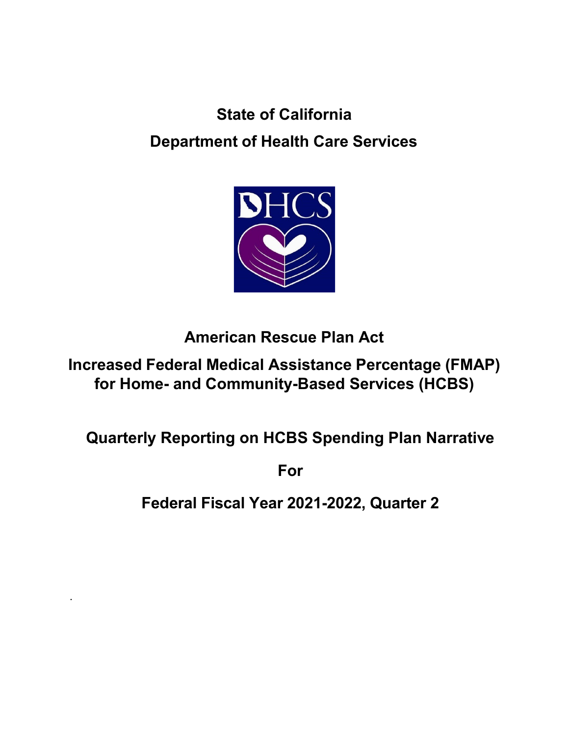# **State of California Department of Health Care Services**



**American Rescue Plan Act**

**Increased Federal Medical Assistance Percentage (FMAP) for Home- and Community-Based Services (HCBS)**

**Quarterly Reporting on HCBS Spending Plan Narrative**

**For**

**Federal Fiscal Year 2021-2022, Quarter 2**

.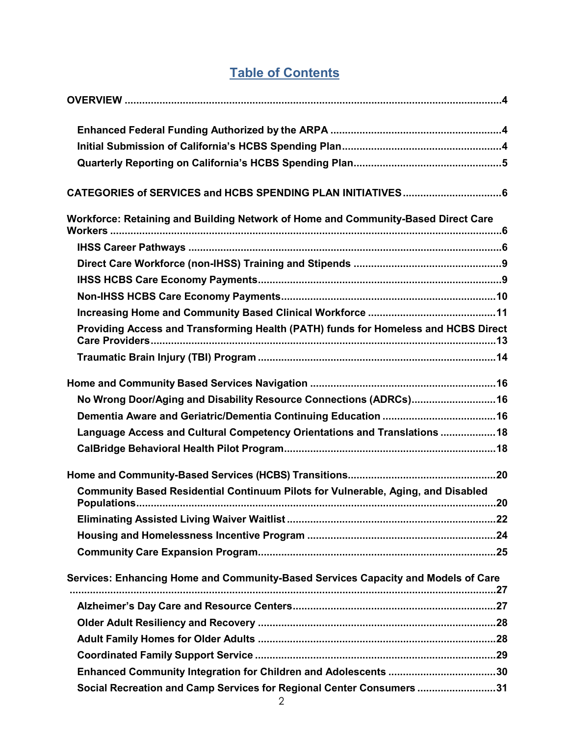# **Table of Contents**

| Workforce: Retaining and Building Network of Home and Community-Based Direct Care  |  |
|------------------------------------------------------------------------------------|--|
|                                                                                    |  |
|                                                                                    |  |
|                                                                                    |  |
|                                                                                    |  |
|                                                                                    |  |
| Providing Access and Transforming Health (PATH) funds for Homeless and HCBS Direct |  |
|                                                                                    |  |
|                                                                                    |  |
| No Wrong Door/Aging and Disability Resource Connections (ADRCs) 16                 |  |
|                                                                                    |  |
| Language Access and Cultural Competency Orientations and Translations  18          |  |
|                                                                                    |  |
|                                                                                    |  |
| Community Based Residential Continuum Pilots for Vulnerable, Aging, and Disabled   |  |
|                                                                                    |  |
|                                                                                    |  |
|                                                                                    |  |
| Services: Enhancing Home and Community-Based Services Capacity and Models of Care  |  |
|                                                                                    |  |
|                                                                                    |  |
|                                                                                    |  |
|                                                                                    |  |
|                                                                                    |  |
| Social Recreation and Camp Services for Regional Center Consumers 31               |  |
|                                                                                    |  |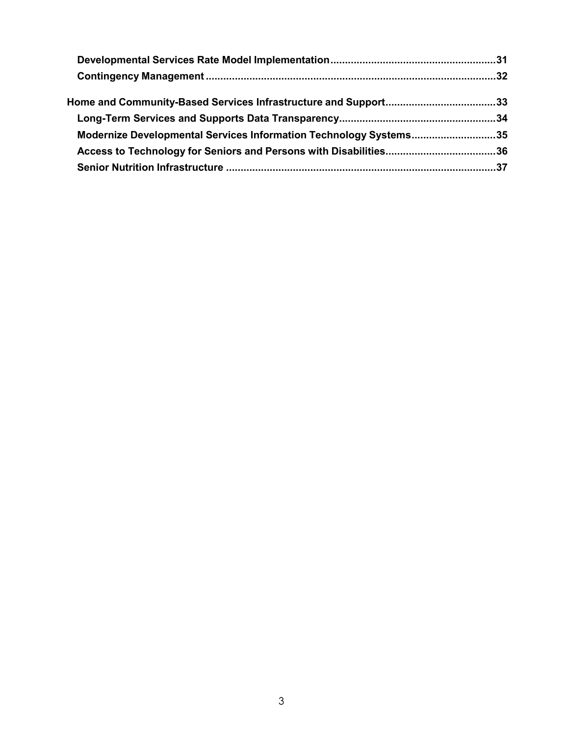| Modernize Developmental Services Information Technology Systems35 |  |
|-------------------------------------------------------------------|--|
|                                                                   |  |
|                                                                   |  |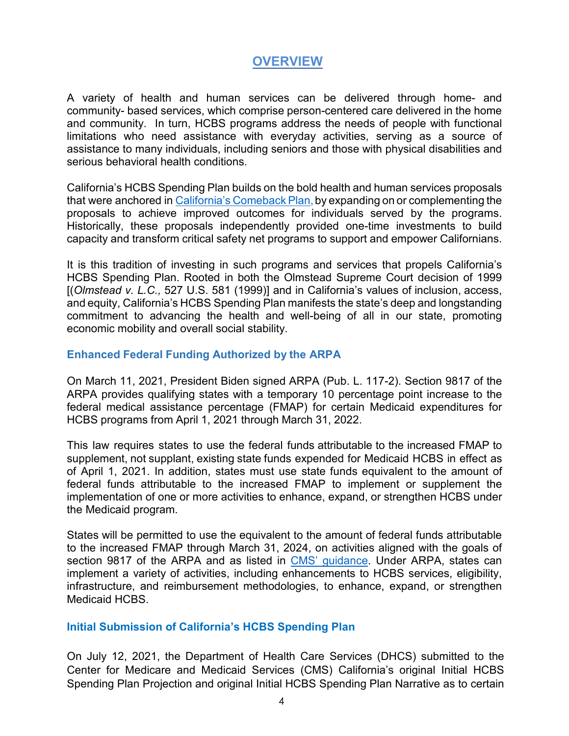## **OVERVIEW**

A variety of health and human services can be delivered through home- and community- based services, which comprise person-centered care delivered in the home and community. In turn, HCBS programs address the needs of people with functional limitations who need assistance with everyday activities, serving as a source of assistance to many individuals, including seniors and those with physical disabilities and serious behavioral health conditions.

California's HCBS Spending Plan builds on the bold health and human services proposals that were anchored i[n California's](https://cdn-west-prod-chhs-01.dsh.ca.gov/chhs/uploads/2021/05/CHHS-Californias-Comeback-Plan.pdf) Comeback Plan, by expanding on or complementing the proposals to achieve improved outcomes for individuals served by the programs. Historically, these proposals independently provided one-time investments to build capacity and transform critical safety net programs to support and empower Californians.

It is this tradition of investing in such programs and services that propels California's HCBS Spending Plan. Rooted in both the Olmstead Supreme Court decision of 1999 [(*Olmstead v. L.C.,* 527 U.S. 581 (1999)] and in California's values of inclusion, access, and equity, California's HCBS Spending Plan manifests the state's deep and longstanding commitment to advancing the health and well-being of all in our state, promoting economic mobility and overall social stability.

#### **Enhanced Federal Funding Authorized by the ARPA**

On March 11, 2021, President Biden signed ARPA (Pub. L. 117-2). Section 9817 of the ARPA provides qualifying states with a temporary 10 percentage point increase to the federal medical assistance percentage (FMAP) for certain Medicaid expenditures for HCBS programs from April 1, 2021 through March 31, 2022.

This law requires states to use the federal funds attributable to the increased FMAP to supplement, not supplant, existing state funds expended for Medicaid HCBS in effect as of April 1, 2021. In addition, states must use state funds equivalent to the amount of federal funds attributable to the increased FMAP to implement or supplement the implementation of one or more activities to enhance, expand, or strengthen HCBS under the Medicaid program.

States will be permitted to use the equivalent to the amount of federal funds attributable to the increased FMAP through March 31, 2024, on activities aligned with the goals of section 9817 of the ARPA and as listed in [CMS' guidance.](https://gcc02.safelinks.protection.outlook.com/?url=https%3A%2F%2Fwww.medicaid.gov%2Ffederal-policy-guidance%2Fdownloads%2Fsmd21003.pdf&data=04%7C01%7CJacey.Cooper%40dhcs.ca.gov%7Cd29d685160ee49ee5e5608d916770654%7C265c2dcd2a6e43aab2e826421a8c8526%7C0%7C0%7C637565522723493405%7CUnknown%7CTWFpbGZsb3d8eyJWIjoiMC4wLjAwMDAiLCJQIjoiV2luMzIiLCJBTiI6Ik1haWwiLCJXVCI6Mn0%3D%7C1000&sdata=e%2FwK%2BsHXa5SJOA8jUDHIbgVIjNJM9LvffJB3eGu15XA%3D&reserved=0) Under ARPA, states can implement a variety of activities, including enhancements to HCBS services, eligibility, infrastructure, and reimbursement methodologies, to enhance, expand, or strengthen Medicaid HCBS.

#### **Initial Submission of California's HCBS Spending Plan**

On July 12, 2021, the Department of Health Care Services (DHCS) submitted to the Center for Medicare and Medicaid Services (CMS) California's original Initial HCBS Spending Plan Projection and original Initial HCBS Spending Plan Narrative as to certain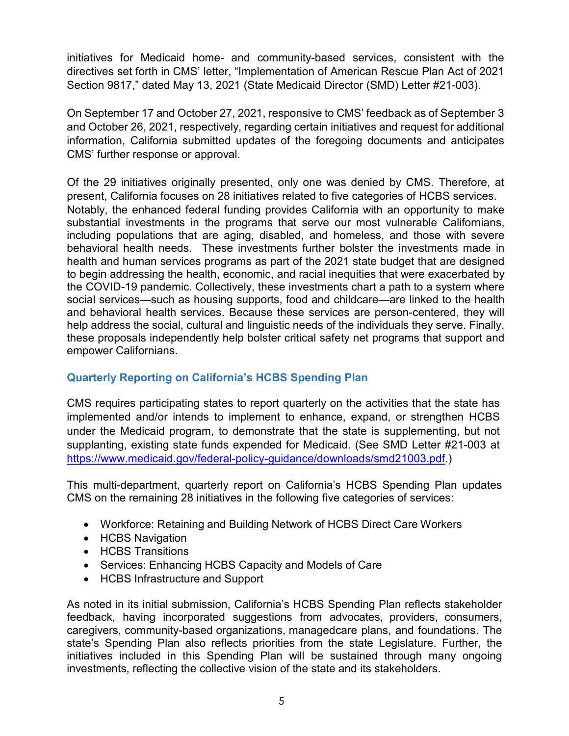initiatives for Medicaid home- and community-based services, consistent with the directives set forth in CMS' letter, "Implementation of American Rescue Plan Act of 2021 Section 9817," dated May 13, 2021 (State Medicaid Director (SMD) Letter #21-003).

On September 17 and October 27, 2021, responsive to CMS' feedback as of September 3 and October 26, 2021, respectively, regarding certain initiatives and request for additional information, California submitted updates of the foregoing documents and anticipates CMS' further response or approval.

Of the 29 initiatives originally presented, only one was denied by CMS. Therefore, at present, California focuses on 28 initiatives related to five categories of HCBS services. Notably, the enhanced federal funding provides California with an opportunity to make substantial investments in the programs that serve our most vulnerable Californians, including populations that are aging, disabled, and homeless, and those with severe behavioral health needs. These investments further bolster the investments made in health and human services programs as part of the 2021 state budget that are designed to begin addressing the health, economic, and racial inequities that were exacerbated by the COVID-19 pandemic. Collectively, these investments chart a path to a system where social services—such as housing supports, food and childcare—are linked to the health and behavioral health services. Because these services are person-centered, they will help address the social, cultural and linguistic needs of the individuals they serve. Finally, these proposals independently help bolster critical safety net programs that support and empower Californians.

#### **Quarterly Reporting on California's HCBS Spending Plan**

CMS requires participating states to report quarterly on the activities that the state has implemented and/or intends to implement to enhance, expand, or strengthen HCBS under the Medicaid program, to demonstrate that the state is supplementing, but not supplanting, existing state funds expended for Medicaid. (See SMD Letter #21-003 at [https://www.medicaid.gov/federal-policy-guidance/downloads/smd21003.pdf.](https://www.medicaid.gov/federal-policy-guidance/downloads/smd21003.pdf))

This multi-department, quarterly report on California's HCBS Spending Plan updates CMS on the remaining 28 initiatives in the following five categories of services:

- Workforce: Retaining and Building Network of HCBS Direct Care Workers
- HCBS Navigation
- HCBS Transitions
- Services: Enhancing HCBS Capacity and Models of Care
- HCBS Infrastructure and Support

As noted in its initial submission, California's HCBS Spending Plan reflects stakeholder feedback, having incorporated suggestions from advocates, providers, consumers, caregivers, community-based organizations, managedcare plans, and foundations. The state's Spending Plan also reflects priorities from the state Legislature. Further, the initiatives included in this Spending Plan will be sustained through many ongoing investments, reflecting the collective vision of the state and its stakeholders.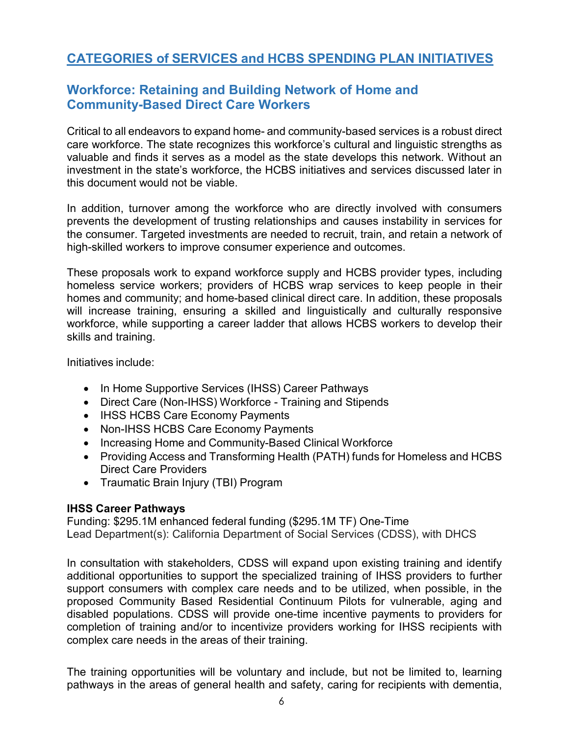# **CATEGORIES of SERVICES and HCBS SPENDING PLAN INITIATIVES**

### **Workforce: Retaining and Building Network of Home and Community-Based Direct Care Workers**

Critical to all endeavors to expand home- and community-based services is a robust direct care workforce. The state recognizes this workforce's cultural and linguistic strengths as valuable and finds it serves as a model as the state develops this network. Without an investment in the state's workforce, the HCBS initiatives and services discussed later in this document would not be viable.

In addition, turnover among the workforce who are directly involved with consumers prevents the development of trusting relationships and causes instability in services for the consumer. Targeted investments are needed to recruit, train, and retain a network of high-skilled workers to improve consumer experience and outcomes.

These proposals work to expand workforce supply and HCBS provider types, including homeless service workers; providers of HCBS wrap services to keep people in their homes and community; and home-based clinical direct care. In addition, these proposals will increase training, ensuring a skilled and linguistically and culturally responsive workforce, while supporting a career ladder that allows HCBS workers to develop their skills and training.

Initiatives include:

- In Home Supportive Services (IHSS) Career Pathways
- Direct Care (Non-IHSS) Workforce Training and Stipends
- IHSS HCBS Care Economy Payments
- Non-IHSS HCBS Care Economy Payments
- Increasing Home and Community-Based Clinical Workforce
- Providing Access and Transforming Health (PATH) funds for Homeless and HCBS Direct Care Providers
- Traumatic Brain Injury (TBI) Program

#### **IHSS Career Pathways**

Funding: \$295.1M enhanced federal funding (\$295.1M TF) One-Time Lead Department(s): California Department of Social Services (CDSS), with DHCS

In consultation with stakeholders, CDSS will expand upon existing training and identify additional opportunities to support the specialized training of IHSS providers to further support consumers with complex care needs and to be utilized, when possible, in the proposed Community Based Residential Continuum Pilots for vulnerable, aging and disabled populations. CDSS will provide one-time incentive payments to providers for completion of training and/or to incentivize providers working for IHSS recipients with complex care needs in the areas of their training.

The training opportunities will be voluntary and include, but not be limited to, learning pathways in the areas of general health and safety, caring for recipients with dementia,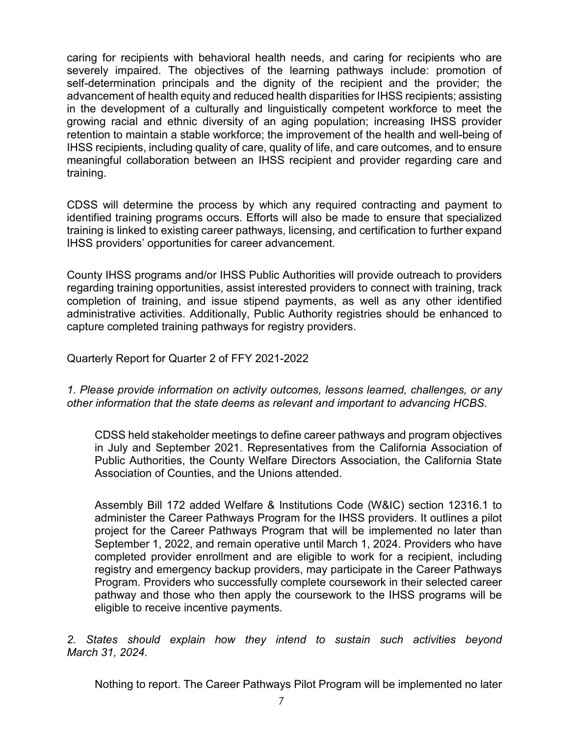caring for recipients with behavioral health needs, and caring for recipients who are severely impaired. The objectives of the learning pathways include: promotion of self-determination principals and the dignity of the recipient and the provider; the advancement of health equity and reduced health disparities for IHSS recipients; assisting in the development of a culturally and linguistically competent workforce to meet the growing racial and ethnic diversity of an aging population; increasing IHSS provider retention to maintain a stable workforce; the improvement of the health and well-being of IHSS recipients, including quality of care, quality of life, and care outcomes, and to ensure meaningful collaboration between an IHSS recipient and provider regarding care and training.

CDSS will determine the process by which any required contracting and payment to identified training programs occurs. Efforts will also be made to ensure that specialized training is linked to existing career pathways, licensing, and certification to further expand IHSS providers' opportunities for career advancement.

County IHSS programs and/or IHSS Public Authorities will provide outreach to providers regarding training opportunities, assist interested providers to connect with training, track completion of training, and issue stipend payments, as well as any other identified administrative activities. Additionally, Public Authority registries should be enhanced to capture completed training pathways for registry providers.

Quarterly Report for Quarter 2 of FFY 2021-2022

*1. Please provide information on activity outcomes, lessons learned, challenges, or any other information that the state deems as relevant and important to advancing HCBS.*

CDSS held stakeholder meetings to define career pathways and program objectives in July and September 2021. Representatives from the California Association of Public Authorities, the County Welfare Directors Association, the California State Association of Counties, and the Unions attended.

Assembly Bill 172 added Welfare & Institutions Code (W&IC) section 12316.1 to administer the Career Pathways Program for the IHSS providers. It outlines a pilot project for the Career Pathways Program that will be implemented no later than September 1, 2022, and remain operative until March 1, 2024. Providers who have completed provider enrollment and are eligible to work for a recipient, including registry and emergency backup providers, may participate in the Career Pathways Program. Providers who successfully complete coursework in their selected career pathway and those who then apply the coursework to the IHSS programs will be eligible to receive incentive payments.

*2. States should explain how they intend to sustain such activities beyond March 31, 2024.*

Nothing to report. The Career Pathways Pilot Program will be implemented no later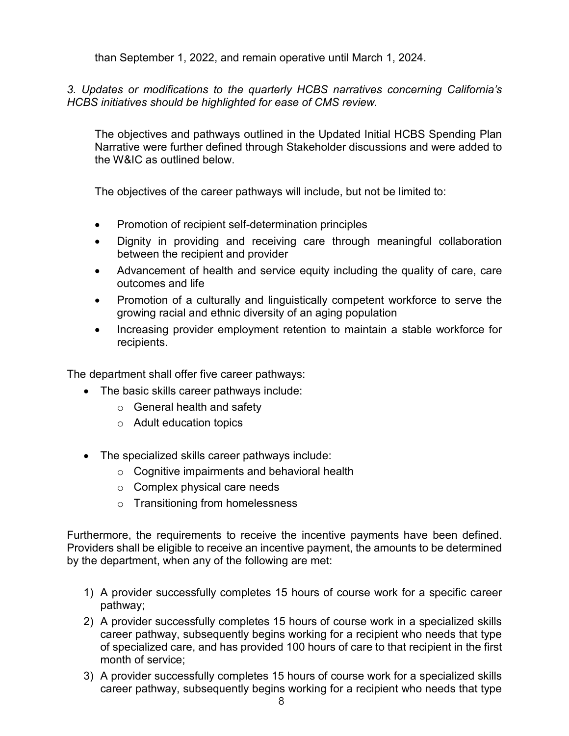than September 1, 2022, and remain operative until March 1, 2024.

*3. Updates or modifications to the quarterly HCBS narratives concerning California's HCBS initiatives should be highlighted for ease of CMS review.*

The objectives and pathways outlined in the Updated Initial HCBS Spending Plan Narrative were further defined through Stakeholder discussions and were added to the W&IC as outlined below.

The objectives of the career pathways will include, but not be limited to:

- Promotion of recipient self-determination principles
- Dignity in providing and receiving care through meaningful collaboration between the recipient and provider
- Advancement of health and service equity including the quality of care, care outcomes and life
- Promotion of a culturally and linguistically competent workforce to serve the growing racial and ethnic diversity of an aging population
- Increasing provider employment retention to maintain a stable workforce for recipients.

The department shall offer five career pathways:

- The basic skills career pathways include:
	- $\circ$  General health and safety
	- o Adult education topics
- The specialized skills career pathways include:
	- o Cognitive impairments and behavioral health
	- o Complex physical care needs
	- o Transitioning from homelessness

Furthermore, the requirements to receive the incentive payments have been defined. Providers shall be eligible to receive an incentive payment, the amounts to be determined by the department, when any of the following are met:

- 1) A provider successfully completes 15 hours of course work for a specific career pathway;
- 2) A provider successfully completes 15 hours of course work in a specialized skills career pathway, subsequently begins working for a recipient who needs that type of specialized care, and has provided 100 hours of care to that recipient in the first month of service;
- 3) A provider successfully completes 15 hours of course work for a specialized skills career pathway, subsequently begins working for a recipient who needs that type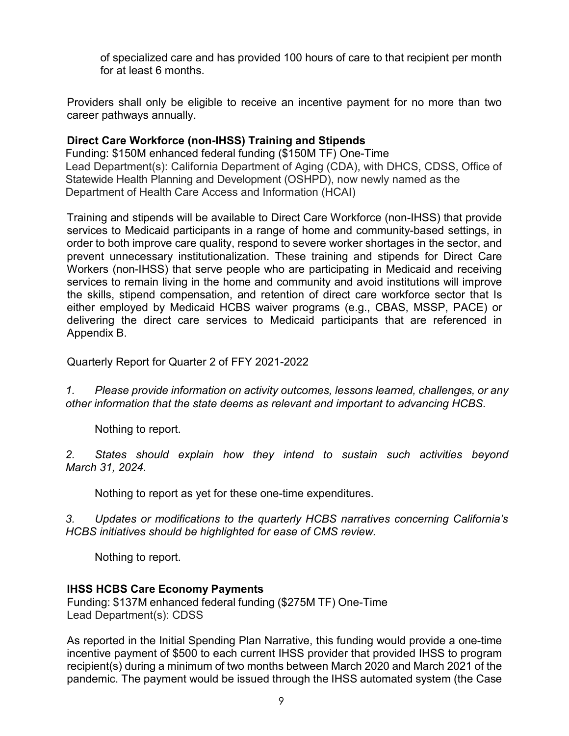of specialized care and has provided 100 hours of care to that recipient per month for at least 6 months.

Providers shall only be eligible to receive an incentive payment for no more than two career pathways annually.

#### **Direct Care Workforce (non-IHSS) Training and Stipends**

Funding: \$150M enhanced federal funding (\$150M TF) One-Time Lead Department(s): California Department of Aging (CDA), with DHCS, CDSS, Office of Statewide Health Planning and Development (OSHPD), now newly named as the Department of Health Care Access and Information (HCAI)

Training and stipends will be available to Direct Care Workforce (non-IHSS) that provide services to Medicaid participants in a range of home and community-based settings, in order to both improve care quality, respond to severe worker shortages in the sector, and prevent unnecessary institutionalization. These training and stipends for Direct Care Workers (non-IHSS) that serve people who are participating in Medicaid and receiving services to remain living in the home and community and avoid institutions will improve the skills, stipend compensation, and retention of direct care workforce sector that Is either employed by Medicaid HCBS waiver programs (e.g., CBAS, MSSP, PACE) or delivering the direct care services to Medicaid participants that are referenced in Appendix B.

Quarterly Report for Quarter 2 of FFY 2021-2022

*1. Please provide information on activity outcomes, lessons learned, challenges, or any other information that the state deems as relevant and important to advancing HCBS.*

Nothing to report.

*2. States should explain how they intend to sustain such activities beyond March 31, 2024.*

Nothing to report as yet for these one-time expenditures.

*3. Updates or modifications to the quarterly HCBS narratives concerning California's HCBS initiatives should be highlighted for ease of CMS review.*

Nothing to report.

#### **IHSS HCBS Care Economy Payments**

Funding: \$137M enhanced federal funding (\$275M TF) One-Time Lead Department(s): CDSS

As reported in the Initial Spending Plan Narrative, this funding would provide a one-time incentive payment of \$500 to each current IHSS provider that provided IHSS to program recipient(s) during a minimum of two months between March 2020 and March 2021 of the pandemic. The payment would be issued through the IHSS automated system (the Case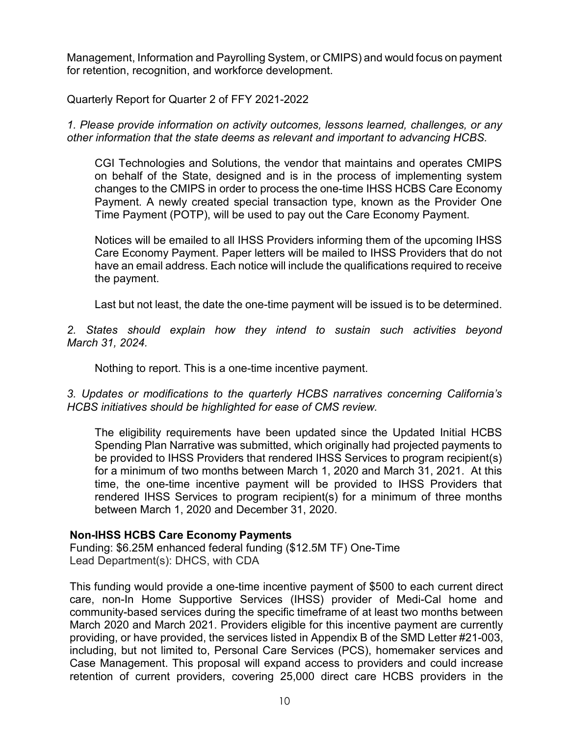Management, Information and Payrolling System, or CMIPS) and would focus on payment for retention, recognition, and workforce development.

Quarterly Report for Quarter 2 of FFY 2021-2022

*1. Please provide information on activity outcomes, lessons learned, challenges, or any other information that the state deems as relevant and important to advancing HCBS.*

CGI Technologies and Solutions, the vendor that maintains and operates CMIPS on behalf of the State, designed and is in the process of implementing system changes to the CMIPS in order to process the one-time IHSS HCBS Care Economy Payment. A newly created special transaction type, known as the Provider One Time Payment (POTP), will be used to pay out the Care Economy Payment.

Notices will be emailed to all IHSS Providers informing them of the upcoming IHSS Care Economy Payment. Paper letters will be mailed to IHSS Providers that do not have an email address. Each notice will include the qualifications required to receive the payment.

Last but not least, the date the one-time payment will be issued is to be determined.

*2. States should explain how they intend to sustain such activities beyond March 31, 2024.*

Nothing to report. This is a one-time incentive payment.

*3. Updates or modifications to the quarterly HCBS narratives concerning California's HCBS initiatives should be highlighted for ease of CMS review.*

The eligibility requirements have been updated since the Updated Initial HCBS Spending Plan Narrative was submitted, which originally had projected payments to be provided to IHSS Providers that rendered IHSS Services to program recipient(s) for a minimum of two months between March 1, 2020 and March 31, 2021. At this time, the one-time incentive payment will be provided to IHSS Providers that rendered IHSS Services to program recipient(s) for a minimum of three months between March 1, 2020 and December 31, 2020.

#### **Non-IHSS HCBS Care Economy Payments**

Funding: \$6.25M enhanced federal funding (\$12.5M TF) One-Time Lead Department(s): DHCS, with CDA

This funding would provide a one-time incentive payment of \$500 to each current direct care, non-In Home Supportive Services (IHSS) provider of Medi-Cal home and community-based services during the specific timeframe of at least two months between March 2020 and March 2021. Providers eligible for this incentive payment are currently providing, or have provided, the services listed in Appendix B of the SMD Letter #21-003, including, but not limited to, Personal Care Services (PCS), homemaker services and Case Management. This proposal will expand access to providers and could increase retention of current providers, covering 25,000 direct care HCBS providers in the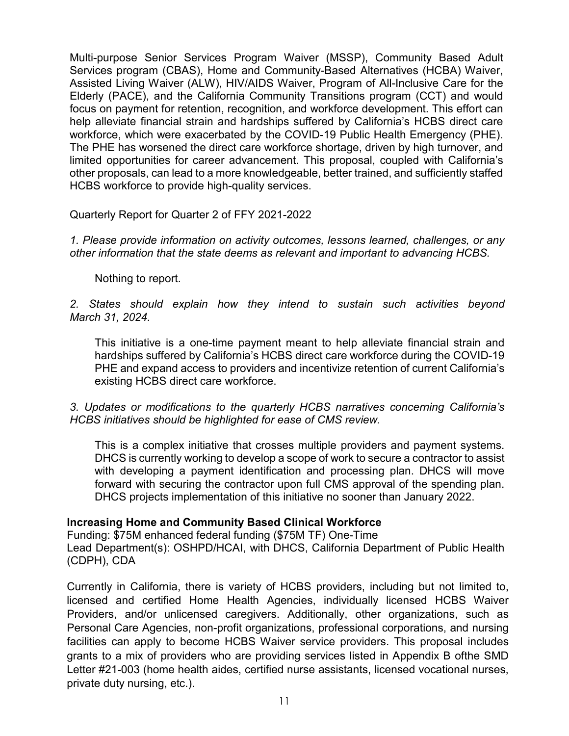Multi-purpose Senior Services Program Waiver (MSSP), Community Based Adult Services program (CBAS), Home and Community-Based Alternatives (HCBA) Waiver, Assisted Living Waiver (ALW), HIV/AIDS Waiver, Program of All-Inclusive Care for the Elderly (PACE), and the California Community Transitions program (CCT) and would focus on payment for retention, recognition, and workforce development. This effort can help alleviate financial strain and hardships suffered by California's HCBS direct care workforce, which were exacerbated by the COVID-19 Public Health Emergency (PHE). The PHE has worsened the direct care workforce shortage, driven by high turnover, and limited opportunities for career advancement. This proposal, coupled with California's other proposals, can lead to a more knowledgeable, better trained, and sufficiently staffed HCBS workforce to provide high-quality services.

Quarterly Report for Quarter 2 of FFY 2021-2022

*1. Please provide information on activity outcomes, lessons learned, challenges, or any other information that the state deems as relevant and important to advancing HCBS.*

Nothing to report.

*2. States should explain how they intend to sustain such activities beyond March 31, 2024.*

This initiative is a one-time payment meant to help alleviate financial strain and hardships suffered by California's HCBS direct care workforce during the COVID-19 PHE and expand access to providers and incentivize retention of current California's existing HCBS direct care workforce.

*3. Updates or modifications to the quarterly HCBS narratives concerning California's HCBS initiatives should be highlighted for ease of CMS review.*

This is a complex initiative that crosses multiple providers and payment systems. DHCS is currently working to develop a scope of work to secure a contractor to assist with developing a payment identification and processing plan. DHCS will move forward with securing the contractor upon full CMS approval of the spending plan. DHCS projects implementation of this initiative no sooner than January 2022.

#### **Increasing Home and Community Based Clinical Workforce**

Funding: \$75M enhanced federal funding (\$75M TF) One-Time Lead Department(s): OSHPD/HCAI, with DHCS, California Department of Public Health (CDPH), CDA

Currently in California, there is variety of HCBS providers, including but not limited to, licensed and certified Home Health Agencies, individually licensed HCBS Waiver Providers, and/or unlicensed caregivers. Additionally, other organizations, such as Personal Care Agencies, non-profit organizations, professional corporations, and nursing facilities can apply to become HCBS Waiver service providers. This proposal includes grants to a mix of providers who are providing services listed in Appendix B ofthe SMD Letter #21-003 (home health aides, certified nurse assistants, licensed vocational nurses, private duty nursing, etc.).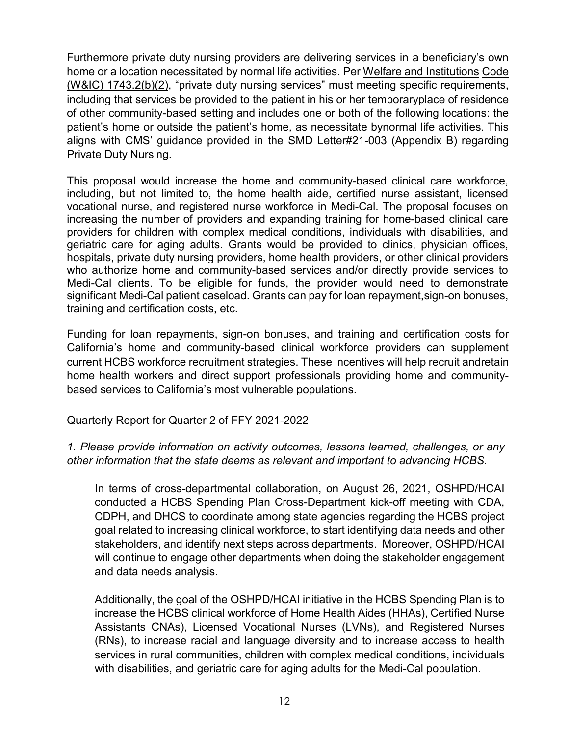Furthermore private duty nursing providers are delivering services in a beneficiary's own home or a location necessitated by normal life activities. Per [Welfare and Institutions](https://leginfo.legislature.ca.gov/faces/codes_displayText.xhtml?lawCode=HSC&division=2.&title&part&chapter=8.3.&article) Code (W&IC) [1743.2\(b\)\(2\),](https://leginfo.legislature.ca.gov/faces/codes_displayText.xhtml?lawCode=HSC&division=2.&title&part&chapter=8.3.&article) "private duty nursing services" must meeting specific requirements, including that services be provided to the patient in his or her temporaryplace of residence of other community-based setting and includes one or both of the following locations: the patient's home or outside the patient's home, as necessitate bynormal life activities. This aligns with CMS' guidance provided in the SMD Letter#21-003 (Appendix B) regarding Private Duty Nursing.

This proposal would increase the home and community-based clinical care workforce, including, but not limited to, the home health aide, certified nurse assistant, licensed vocational nurse, and registered nurse workforce in Medi-Cal. The proposal focuses on increasing the number of providers and expanding training for home-based clinical care providers for children with complex medical conditions, individuals with disabilities, and geriatric care for aging adults. Grants would be provided to clinics, physician offices, hospitals, private duty nursing providers, home health providers, or other clinical providers who authorize home and community-based services and/or directly provide services to Medi-Cal clients. To be eligible for funds, the provider would need to demonstrate significant Medi-Cal patient caseload. Grants can pay for loan repayment,sign-on bonuses, training and certification costs, etc.

Funding for loan repayments, sign-on bonuses, and training and certification costs for California's home and community-based clinical workforce providers can supplement current HCBS workforce recruitment strategies. These incentives will help recruit andretain home health workers and direct support professionals providing home and communitybased services to California's most vulnerable populations.

Quarterly Report for Quarter 2 of FFY 2021-2022

*1. Please provide information on activity outcomes, lessons learned, challenges, or any other information that the state deems as relevant and important to advancing HCBS.*

In terms of cross-departmental collaboration, on August 26, 2021, OSHPD/HCAI conducted a HCBS Spending Plan Cross-Department kick-off meeting with CDA, CDPH, and DHCS to coordinate among state agencies regarding the HCBS project goal related to increasing clinical workforce, to start identifying data needs and other stakeholders, and identify next steps across departments. Moreover, OSHPD/HCAI will continue to engage other departments when doing the stakeholder engagement and data needs analysis.

Additionally, the goal of the OSHPD/HCAI initiative in the HCBS Spending Plan is to increase the HCBS clinical workforce of Home Health Aides (HHAs), Certified Nurse Assistants CNAs), Licensed Vocational Nurses (LVNs), and Registered Nurses (RNs), to increase racial and language diversity and to increase access to health services in rural communities, children with complex medical conditions, individuals with disabilities, and geriatric care for aging adults for the Medi-Cal population.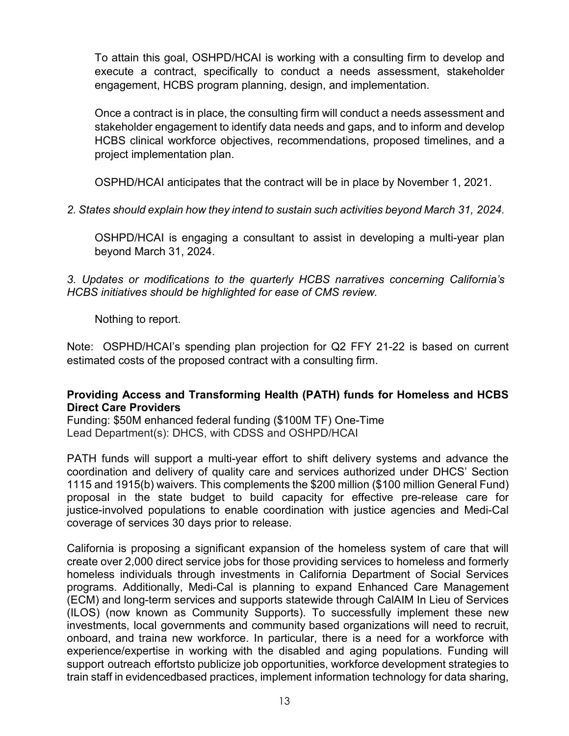To attain this goal, OSHPD/HCAI is working with a consulting firm to develop and execute a contract, specifically to conduct a needs assessment, stakeholder engagement, HCBS program planning, design, and implementation.

Once a contract is in place, the consulting firm will conduct a needs assessment and stakeholder engagement to identify data needs and gaps, and to inform and develop HCBS clinical workforce objectives, recommendations, proposed timelines, and a project implementation plan.

OSPHD/HCAI anticipates that the contract will be in place by November 1, 2021.

*2. States should explain how they intend to sustain such activities beyond March 31, 2024.*

OSHPD/HCAI is engaging a consultant to assist in developing a multi-year plan beyond March 31, 2024.

*3. Updates or modifications to the quarterly HCBS narratives concerning California's HCBS initiatives should be highlighted for ease of CMS review.*

Nothing to report.

Note: OSPHD/HCAI's spending plan projection for Q2 FFY 21-22 is based on current estimated costs of the proposed contract with a consulting firm.

#### **Providing Access and Transforming Health (PATH) funds for Homeless and HCBS Direct Care Providers**

Funding: \$50M enhanced federal funding (\$100M TF) One-Time Lead Department(s): DHCS, with CDSS and OSHPD/HCAI

PATH funds will support a multi-year effort to shift delivery systems and advance the coordination and delivery of quality care and services authorized under DHCS' Section 1115 and 1915(b) waivers. This complements the \$200 million (\$100 million General Fund) proposal in the state budget to build capacity for effective pre-release care for justice-involved populations to enable coordination with justice agencies and Medi-Cal coverage of services 30 days prior to release.

California is proposing a significant expansion of the homeless system of care that will create over 2,000 direct service jobs for those providing services to homeless and formerly homeless individuals through investments in California Department of Social Services programs. Additionally, Medi-Cal is planning to expand Enhanced Care Management (ECM) and long-term services and supports statewide through CalAIM In Lieu of Services (ILOS) (now known as Community Supports). To successfully implement these new investments, local governments and community based organizations will need to recruit, onboard, and traina new workforce. In particular, there is a need for a workforce with experience/expertise in working with the disabled and aging populations. Funding will support outreach effortsto publicize job opportunities, workforce development strategies to train staff in evidencedbased practices, implement information technology for data sharing,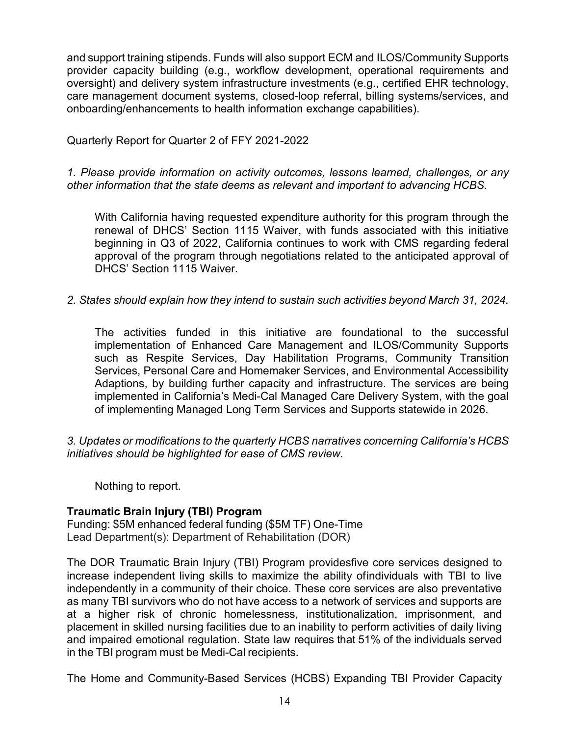and support training stipends. Funds will also support ECM and ILOS/Community Supports provider capacity building (e.g., workflow development, operational requirements and oversight) and delivery system infrastructure investments (e.g., certified EHR technology, care management document systems, closed-loop referral, billing systems/services, and onboarding/enhancements to health information exchange capabilities).

Quarterly Report for Quarter 2 of FFY 2021-2022

*1. Please provide information on activity outcomes, lessons learned, challenges, or any other information that the state deems as relevant and important to advancing HCBS.*

With California having requested expenditure authority for this program through the renewal of DHCS' Section 1115 Waiver, with funds associated with this initiative beginning in Q3 of 2022, California continues to work with CMS regarding federal approval of the program through negotiations related to the anticipated approval of DHCS' Section 1115 Waiver.

*2. States should explain how they intend to sustain such activities beyond March 31, 2024.*

The activities funded in this initiative are foundational to the successful implementation of Enhanced Care Management and ILOS/Community Supports such as Respite Services, Day Habilitation Programs, Community Transition Services, Personal Care and Homemaker Services, and Environmental Accessibility Adaptions, by building further capacity and infrastructure. The services are being implemented in California's Medi-Cal Managed Care Delivery System, with the goal of implementing Managed Long Term Services and Supports statewide in 2026.

*3. Updates or modifications to the quarterly HCBS narratives concerning California's HCBS initiatives should be highlighted for ease of CMS review.*

Nothing to report.

#### **Traumatic Brain Injury (TBI) Program**

Funding: \$5M enhanced federal funding (\$5M TF) One-Time Lead Department(s): Department of Rehabilitation (DOR)

The DOR Traumatic Brain Injury (TBI) Program providesfive core services designed to increase independent living skills to maximize the ability ofindividuals with TBI to live independently in a community of their choice. These core services are also preventative as many TBI survivors who do not have access to a network of services and supports are at a higher risk of chronic homelessness, institutionalization, imprisonment, and placement in skilled nursing facilities due to an inability to perform activities of daily living and impaired emotional regulation. State law requires that 51% of the individuals served in the TBI program must be Medi-Cal recipients.

The Home and Community-Based Services (HCBS) Expanding TBI Provider Capacity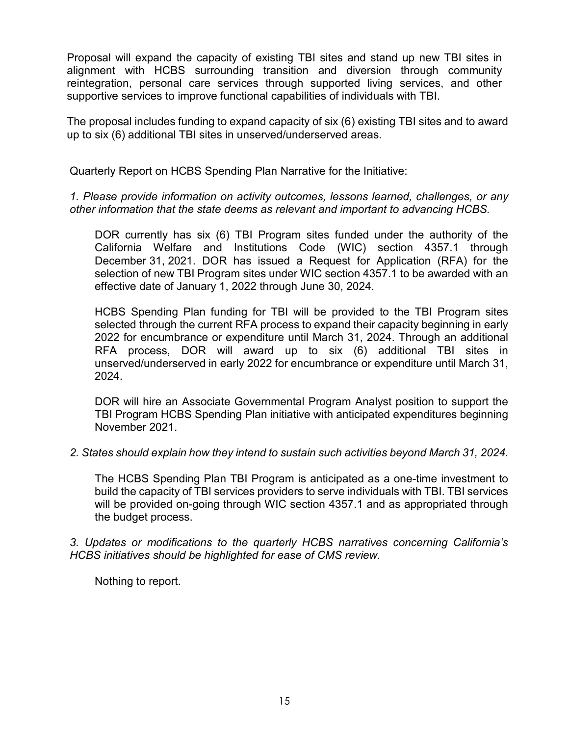Proposal will expand the capacity of existing TBI sites and stand up new TBI sites in alignment with HCBS surrounding transition and diversion through community reintegration, personal care services through supported living services, and other supportive services to improve functional capabilities of individuals with TBI.

The proposal includes funding to expand capacity of six (6) existing TBI sites and to award up to six (6) additional TBI sites in unserved/underserved areas.

Quarterly Report on HCBS Spending Plan Narrative for the Initiative:

*1. Please provide information on activity outcomes, lessons learned, challenges, or any other information that the state deems as relevant and important to advancing HCBS.*

DOR currently has six (6) TBI Program sites funded under the authority of the California Welfare and Institutions Code (WIC) section 4357.1 through December 31, 2021. DOR has issued a Request for Application (RFA) for the selection of new TBI Program sites under WIC section 4357.1 to be awarded with an effective date of January 1, 2022 through June 30, 2024.

HCBS Spending Plan funding for TBI will be provided to the TBI Program sites selected through the current RFA process to expand their capacity beginning in early 2022 for encumbrance or expenditure until March 31, 2024. Through an additional RFA process, DOR will award up to six (6) additional TBI sites in unserved/underserved in early 2022 for encumbrance or expenditure until March 31, 2024.

DOR will hire an Associate Governmental Program Analyst position to support the TBI Program HCBS Spending Plan initiative with anticipated expenditures beginning November 2021.

#### *2. States should explain how they intend to sustain such activities beyond March 31, 2024.*

The HCBS Spending Plan TBI Program is anticipated as a one-time investment to build the capacity of TBI services providers to serve individuals with TBI. TBI services will be provided on-going through WIC section 4357.1 and as appropriated through the budget process.

*3. Updates or modifications to the quarterly HCBS narratives concerning California's HCBS initiatives should be highlighted for ease of CMS review.*

Nothing to report.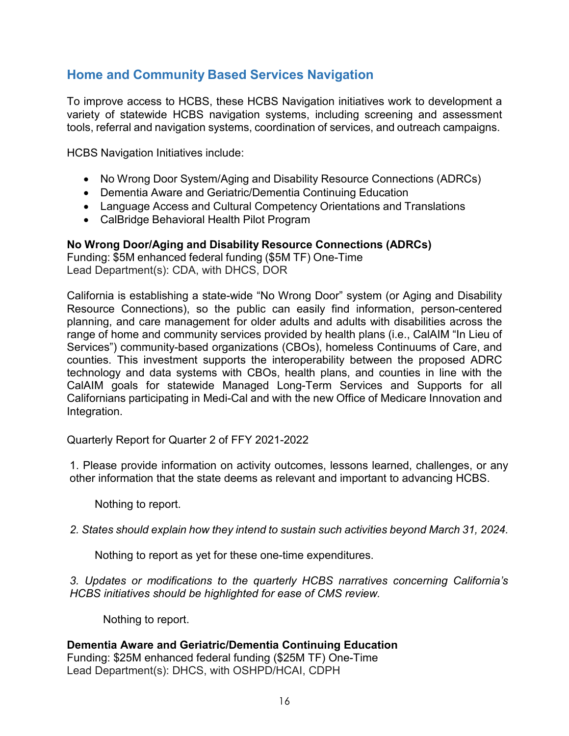## **Home and Community Based Services Navigation**

To improve access to HCBS, these HCBS Navigation initiatives work to development a variety of statewide HCBS navigation systems, including screening and assessment tools, referral and navigation systems, coordination of services, and outreach campaigns.

HCBS Navigation Initiatives include:

- No Wrong Door System/Aging and Disability Resource Connections (ADRCs)
- Dementia Aware and Geriatric/Dementia Continuing Education
- Language Access and Cultural Competency Orientations and Translations
- CalBridge Behavioral Health Pilot Program

#### **No Wrong Door/Aging and Disability Resource Connections (ADRCs)**

Funding: \$5M enhanced federal funding (\$5M TF) One-Time Lead Department(s): CDA, with DHCS, DOR

California is establishing a state-wide "No Wrong Door" system (or Aging and Disability Resource Connections), so the public can easily find information, person-centered planning, and care management for older adults and adults with disabilities across the range of home and community services provided by health plans (i.e., CalAIM "In Lieu of Services") community-based organizations (CBOs), homeless Continuums of Care, and counties. This investment supports the interoperability between the proposed ADRC technology and data systems with CBOs, health plans, and counties in line with the CalAIM goals for statewide Managed Long-Term Services and Supports for all Californians participating in Medi-Cal and with the new Office of Medicare Innovation and Integration.

Quarterly Report for Quarter 2 of FFY 2021-2022

1. Please provide information on activity outcomes, lessons learned, challenges, or any other information that the state deems as relevant and important to advancing HCBS.

Nothing to report.

*2. States should explain how they intend to sustain such activities beyond March 31, 2024.*

Nothing to report as yet for these one-time expenditures.

*3. Updates or modifications to the quarterly HCBS narratives concerning California's HCBS initiatives should be highlighted for ease of CMS review.*

Nothing to report.

**Dementia Aware and Geriatric/Dementia Continuing Education** Funding: \$25M enhanced federal funding (\$25M TF) One-Time Lead Department(s): DHCS, with OSHPD/HCAI, CDPH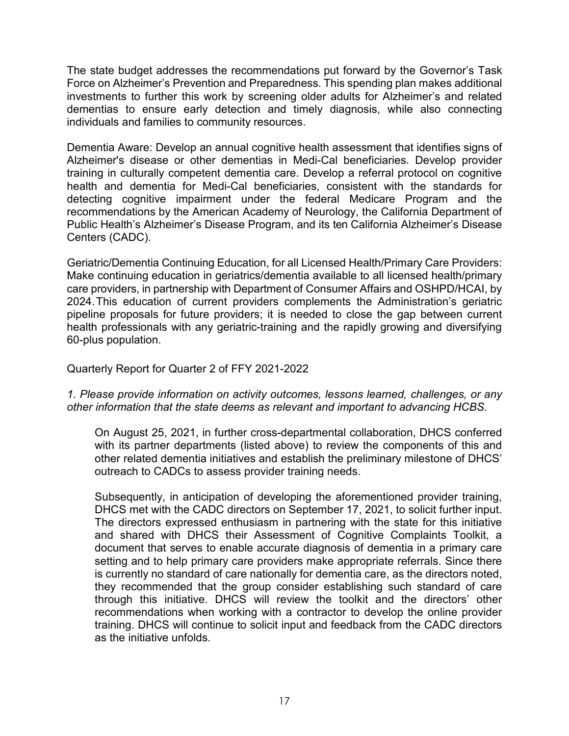The state budget addresses the recommendations put forward by the Governor's Task Force on Alzheimer's Prevention and Preparedness. This spending plan makes additional investments to further this work by screening older adults for Alzheimer's and related dementias to ensure early detection and timely diagnosis, while also connecting individuals and families to community resources.

Dementia Aware: Develop an annual cognitive health assessment that identifies signs of Alzheimer's disease or other dementias in Medi-Cal beneficiaries. Develop provider training in culturally competent dementia care. Develop a referral protocol on cognitive health and dementia for Medi-Cal beneficiaries, consistent with the standards for detecting cognitive impairment under the federal Medicare Program and the recommendations by the American Academy of Neurology, the California Department of Public Health's Alzheimer's Disease Program, and its ten California Alzheimer's Disease Centers (CADC).

Geriatric/Dementia Continuing Education, for all Licensed Health/Primary Care Providers: Make continuing education in geriatrics/dementia available to all licensed health/primary care providers, in partnership with Department of Consumer Affairs and OSHPD/HCAI, by 2024.This education of current providers complements the Administration's geriatric pipeline proposals for future providers; it is needed to close the gap between current health professionals with any geriatric-training and the rapidly growing and diversifying 60-plus population.

Quarterly Report for Quarter 2 of FFY 2021-2022

*1. Please provide information on activity outcomes, lessons learned, challenges, or any other information that the state deems as relevant and important to advancing HCBS.*

On August 25, 2021, in further cross-departmental collaboration, DHCS conferred with its partner departments (listed above) to review the components of this and other related dementia initiatives and establish the preliminary milestone of DHCS' outreach to CADCs to assess provider training needs.

Subsequently, in anticipation of developing the aforementioned provider training, DHCS met with the CADC directors on September 17, 2021, to solicit further input. The directors expressed enthusiasm in partnering with the state for this initiative and shared with DHCS their Assessment of Cognitive Complaints Toolkit, a document that serves to enable accurate diagnosis of dementia in a primary care setting and to help primary care providers make appropriate referrals. Since there is currently no standard of care nationally for dementia care, as the directors noted, they recommended that the group consider establishing such standard of care through this initiative. DHCS will review the toolkit and the directors' other recommendations when working with a contractor to develop the online provider training. DHCS will continue to solicit input and feedback from the CADC directors as the initiative unfolds.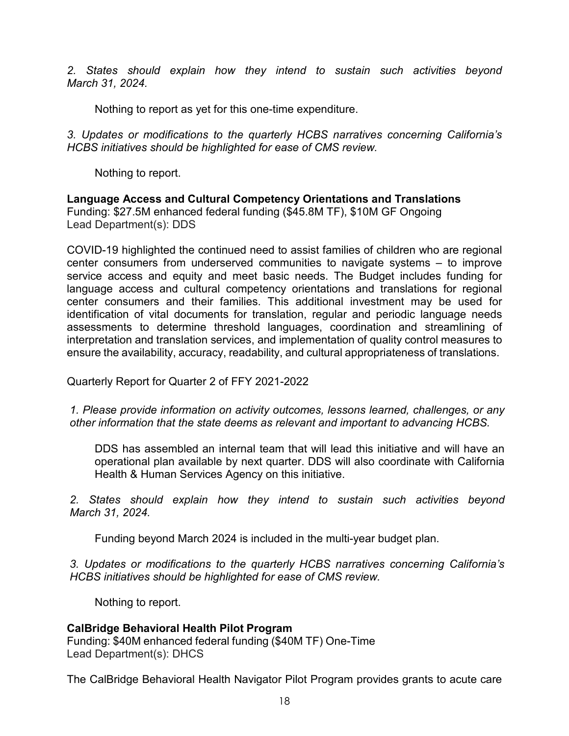*2. States should explain how they intend to sustain such activities beyond March 31, 2024.*

Nothing to report as yet for this one-time expenditure.

*3. Updates or modifications to the quarterly HCBS narratives concerning California's HCBS initiatives should be highlighted for ease of CMS review.*

Nothing to report.

**Language Access and Cultural Competency Orientations and Translations** Funding: \$27.5M enhanced federal funding (\$45.8M TF), \$10M GF Ongoing Lead Department(s): DDS

COVID-19 highlighted the continued need to assist families of children who are regional center consumers from underserved communities to navigate systems – to improve service access and equity and meet basic needs. The Budget includes funding for language access and cultural competency orientations and translations for regional center consumers and their families. This additional investment may be used for identification of vital documents for translation, regular and periodic language needs assessments to determine threshold languages, coordination and streamlining of interpretation and translation services, and implementation of quality control measures to ensure the availability, accuracy, readability, and cultural appropriateness of translations.

Quarterly Report for Quarter 2 of FFY 2021-2022

*1. Please provide information on activity outcomes, lessons learned, challenges, or any other information that the state deems as relevant and important to advancing HCBS.*

DDS has assembled an internal team that will lead this initiative and will have an operational plan available by next quarter. DDS will also coordinate with California Health & Human Services Agency on this initiative.

*2. States should explain how they intend to sustain such activities beyond March 31, 2024.*

Funding beyond March 2024 is included in the multi-year budget plan.

*3. Updates or modifications to the quarterly HCBS narratives concerning California's HCBS initiatives should be highlighted for ease of CMS review.*

Nothing to report.

#### **CalBridge Behavioral Health Pilot Program**

Funding: \$40M enhanced federal funding (\$40M TF) One-Time Lead Department(s): DHCS

The CalBridge Behavioral Health Navigator Pilot Program provides grants to acute care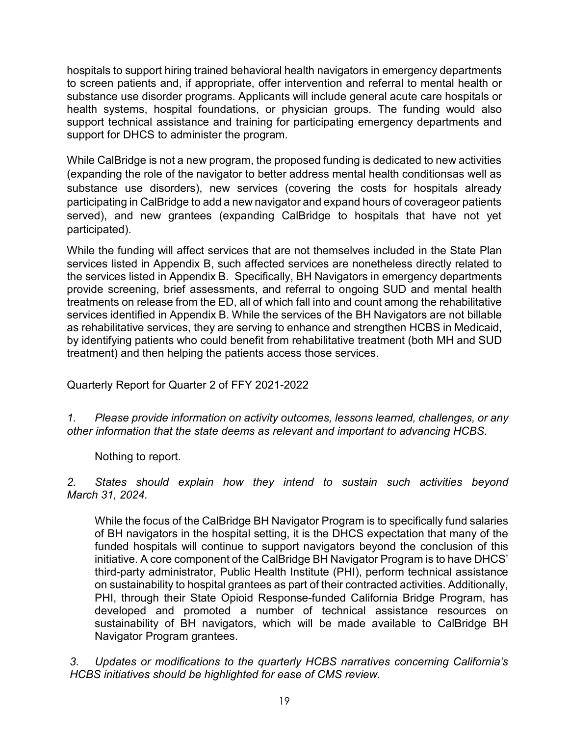hospitals to support hiring trained behavioral health navigators in emergency departments to screen patients and, if appropriate, offer intervention and referral to mental health or substance use disorder programs. Applicants will include general acute care hospitals or health systems, hospital foundations, or physician groups. The funding would also support technical assistance and training for participating emergency departments and support for DHCS to administer the program.

While CalBridge is not a new program, the proposed funding is dedicated to new activities (expanding the role of the navigator to better address mental health conditionsas well as substance use disorders), new services (covering the costs for hospitals already participating in CalBridge to add a new navigator and expand hours of coverageor patients served), and new grantees (expanding CalBridge to hospitals that have not yet participated).

While the funding will affect services that are not themselves included in the State Plan services listed in Appendix B, such affected services are nonetheless directly related to the services listed in Appendix B. Specifically, BH Navigators in emergency departments provide screening, brief assessments, and referral to ongoing SUD and mental health treatments on release from the ED, all of which fall into and count among the rehabilitative services identified in Appendix B. While the services of the BH Navigators are not billable as rehabilitative services, they are serving to enhance and strengthen HCBS in Medicaid, by identifying patients who could benefit from rehabilitative treatment (both MH and SUD treatment) and then helping the patients access those services.

Quarterly Report for Quarter 2 of FFY 2021-2022

*1. Please provide information on activity outcomes, lessons learned, challenges, or any other information that the state deems as relevant and important to advancing HCBS.*

Nothing to report.

*2. States should explain how they intend to sustain such activities beyond March 31, 2024.*

While the focus of the CalBridge BH Navigator Program is to specifically fund salaries of BH navigators in the hospital setting, it is the DHCS expectation that many of the funded hospitals will continue to support navigators beyond the conclusion of this initiative. A core component of the CalBridge BH Navigator Program is to have DHCS' third-party administrator, Public Health Institute (PHI), perform technical assistance on sustainability to hospital grantees as part of their contracted activities. Additionally, PHI, through their State Opioid Response-funded California Bridge Program, has developed and promoted a number of technical assistance resources on sustainability of BH navigators, which will be made available to CalBridge BH Navigator Program grantees.

*3. Updates or modifications to the quarterly HCBS narratives concerning California's HCBS initiatives should be highlighted for ease of CMS review.*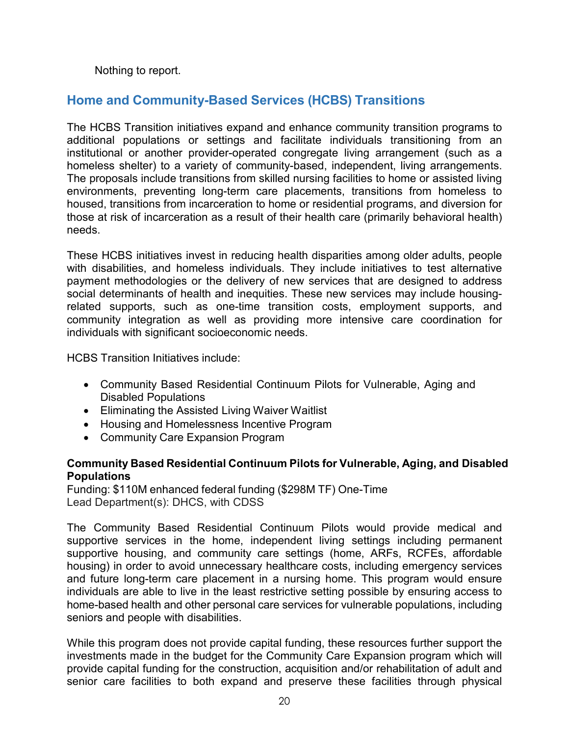Nothing to report.

# **Home and Community-Based Services (HCBS) Transitions**

The HCBS Transition initiatives expand and enhance community transition programs to additional populations or settings and facilitate individuals transitioning from an institutional or another provider-operated congregate living arrangement (such as a homeless shelter) to a variety of community-based, independent, living arrangements. The proposals include transitions from skilled nursing facilities to home or assisted living environments, preventing long-term care placements, transitions from homeless to housed, transitions from incarceration to home or residential programs, and diversion for those at risk of incarceration as a result of their health care (primarily behavioral health) needs.

These HCBS initiatives invest in reducing health disparities among older adults, people with disabilities, and homeless individuals. They include initiatives to test alternative payment methodologies or the delivery of new services that are designed to address social determinants of health and inequities. These new services may include housingrelated supports, such as one-time transition costs, employment supports, and community integration as well as providing more intensive care coordination for individuals with significant socioeconomic needs.

HCBS Transition Initiatives include:

- Community Based Residential Continuum Pilots for Vulnerable, Aging and Disabled Populations
- Eliminating the Assisted Living Waiver Waitlist
- Housing and Homelessness Incentive Program
- Community Care Expansion Program

#### **Community Based Residential Continuum Pilots for Vulnerable, Aging, and Disabled Populations**

Funding: \$110M enhanced federal funding (\$298M TF) One-Time Lead Department(s): DHCS, with CDSS

The Community Based Residential Continuum Pilots would provide medical and supportive services in the home, independent living settings including permanent supportive housing, and community care settings (home, ARFs, RCFEs, affordable housing) in order to avoid unnecessary healthcare costs, including emergency services and future long-term care placement in a nursing home. This program would ensure individuals are able to live in the least restrictive setting possible by ensuring access to home-based health and other personal care services for vulnerable populations, including seniors and people with disabilities.

While this program does not provide capital funding, these resources further support the investments made in the budget for the Community Care Expansion program which will provide capital funding for the construction, acquisition and/or rehabilitation of adult and senior care facilities to both expand and preserve these facilities through physical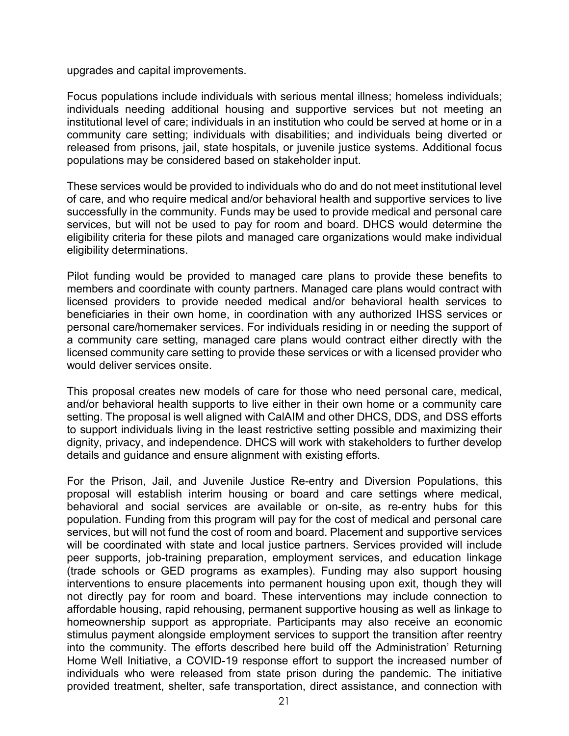upgrades and capital improvements.

Focus populations include individuals with serious mental illness; homeless individuals; individuals needing additional housing and supportive services but not meeting an institutional level of care; individuals in an institution who could be served at home or in a community care setting; individuals with disabilities; and individuals being diverted or released from prisons, jail, state hospitals, or juvenile justice systems. Additional focus populations may be considered based on stakeholder input.

These services would be provided to individuals who do and do not meet institutional level of care, and who require medical and/or behavioral health and supportive services to live successfully in the community. Funds may be used to provide medical and personal care services, but will not be used to pay for room and board. DHCS would determine the eligibility criteria for these pilots and managed care organizations would make individual eligibility determinations.

Pilot funding would be provided to managed care plans to provide these benefits to members and coordinate with county partners. Managed care plans would contract with licensed providers to provide needed medical and/or behavioral health services to beneficiaries in their own home, in coordination with any authorized IHSS services or personal care/homemaker services. For individuals residing in or needing the support of a community care setting, managed care plans would contract either directly with the licensed community care setting to provide these services or with a licensed provider who would deliver services onsite.

This proposal creates new models of care for those who need personal care, medical, and/or behavioral health supports to live either in their own home or a community care setting. The proposal is well aligned with CalAIM and other DHCS, DDS, and DSS efforts to support individuals living in the least restrictive setting possible and maximizing their dignity, privacy, and independence. DHCS will work with stakeholders to further develop details and guidance and ensure alignment with existing efforts.

For the Prison, Jail, and Juvenile Justice Re-entry and Diversion Populations, this proposal will establish interim housing or board and care settings where medical, behavioral and social services are available or on-site, as re-entry hubs for this population. Funding from this program will pay for the cost of medical and personal care services, but will not fund the cost of room and board. Placement and supportive services will be coordinated with state and local justice partners. Services provided will include peer supports, job-training preparation, employment services, and education linkage (trade schools or GED programs as examples). Funding may also support housing interventions to ensure placements into permanent housing upon exit, though they will not directly pay for room and board. These interventions may include connection to affordable housing, rapid rehousing, permanent supportive housing as well as linkage to homeownership support as appropriate. Participants may also receive an economic stimulus payment alongside employment services to support the transition after reentry into the community. The efforts described here build off the Administration' Returning Home Well Initiative, a COVID-19 response effort to support the increased number of individuals who were released from state prison during the pandemic. The initiative provided treatment, shelter, safe transportation, direct assistance, and connection with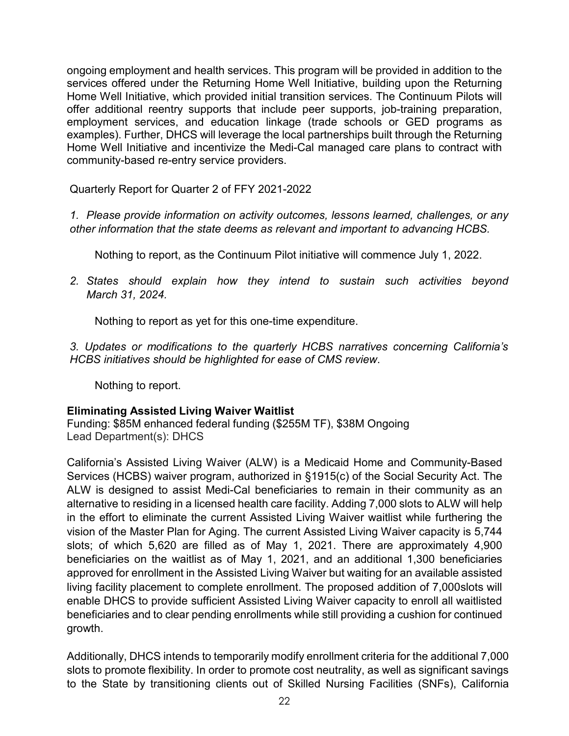ongoing employment and health services. This program will be provided in addition to the services offered under the Returning Home Well Initiative, building upon the Returning Home Well Initiative, which provided initial transition services. The Continuum Pilots will offer additional reentry supports that include peer supports, job-training preparation, employment services, and education linkage (trade schools or GED programs as examples). Further, DHCS will leverage the local partnerships built through the Returning Home Well Initiative and incentivize the Medi-Cal managed care plans to contract with community-based re-entry service providers.

Quarterly Report for Quarter 2 of FFY 2021-2022

*1. Please provide information on activity outcomes, lessons learned, challenges, or any other information that the state deems as relevant and important to advancing HCBS.*

Nothing to report, as the Continuum Pilot initiative will commence July 1, 2022.

*2. States should explain how they intend to sustain such activities beyond March 31, 2024.*

Nothing to report as yet for this one-time expenditure.

*3. Updates or modifications to the quarterly HCBS narratives concerning California's HCBS initiatives should be highlighted for ease of CMS review*.

Nothing to report.

#### **Eliminating Assisted Living Waiver Waitlist**

Funding: \$85M enhanced federal funding (\$255M TF), \$38M Ongoing Lead Department(s): DHCS

California's Assisted Living Waiver (ALW) is a Medicaid Home and Community-Based Services (HCBS) waiver program, authorized in §1915(c) of the Social Security Act. The ALW is designed to assist Medi-Cal beneficiaries to remain in their community as an alternative to residing in a licensed health care facility. Adding 7,000 slots to ALW will help in the effort to eliminate the current Assisted Living Waiver waitlist while furthering the vision of the Master Plan for Aging. The current Assisted Living Waiver capacity is 5,744 slots; of which 5,620 are filled as of May 1, 2021. There are approximately 4,900 beneficiaries on the waitlist as of May 1, 2021, and an additional 1,300 beneficiaries approved for enrollment in the Assisted Living Waiver but waiting for an available assisted living facility placement to complete enrollment. The proposed addition of 7,000slots will enable DHCS to provide sufficient Assisted Living Waiver capacity to enroll all waitlisted beneficiaries and to clear pending enrollments while still providing a cushion for continued growth.

Additionally, DHCS intends to temporarily modify enrollment criteria for the additional 7,000 slots to promote flexibility. In order to promote cost neutrality, as well as significant savings to the State by transitioning clients out of Skilled Nursing Facilities (SNFs), California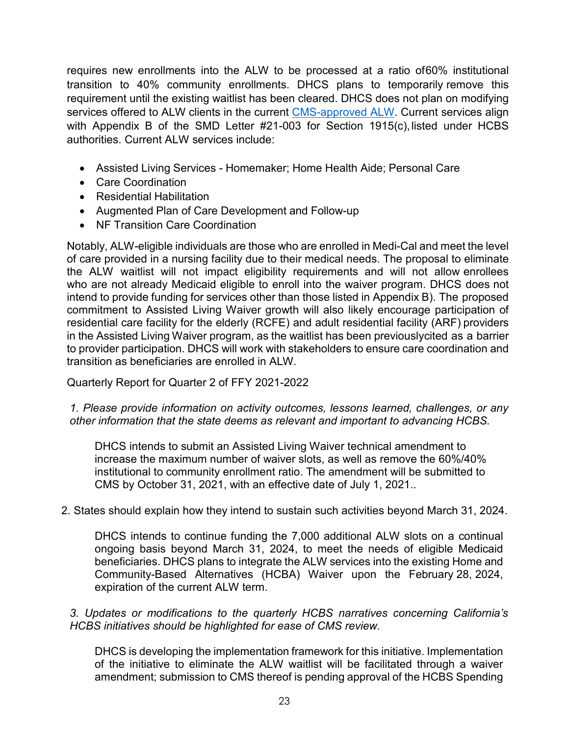requires new enrollments into the ALW to be processed at a ratio of60% institutional transition to 40% community enrollments. DHCS plans to temporarily remove this requirement until the existing waitlist has been cleared. DHCS does not plan on modifying services offered to ALW clients in the current [CMS-approved ALW.](https://www.dhcs.ca.gov/services/ltc/Documents/ALW-Renewal-2019-2024-Approved.pdf) Current services align with Appendix B of the SMD Letter  $#21$ -003 for Section 1915(c), listed under HCBS authorities. Current ALW services include:

- Assisted Living Services Homemaker; Home Health Aide; Personal Care
- Care Coordination
- Residential Habilitation
- Augmented Plan of Care Development and Follow-up
- NF Transition Care Coordination

Notably, ALW-eligible individuals are those who are enrolled in Medi-Cal and meet the level of care provided in a nursing facility due to their medical needs. The proposal to eliminate the ALW waitlist will not impact eligibility requirements and will not allow enrollees who are not already Medicaid eligible to enroll into the waiver program. DHCS does not intend to provide funding for services other than those listed in Appendix B). The proposed commitment to Assisted Living Waiver growth will also likely encourage participation of residential care facility for the elderly (RCFE) and adult residential facility (ARF) providers in the Assisted Living Waiver program, as the waitlist has been previouslycited as a barrier to provider participation. DHCS will work with stakeholders to ensure care coordination and transition as beneficiaries are enrolled in ALW.

Quarterly Report for Quarter 2 of FFY 2021-2022

*1. Please provide information on activity outcomes, lessons learned, challenges, or any other information that the state deems as relevant and important to advancing HCBS.*

DHCS intends to submit an Assisted Living Waiver technical amendment to increase the maximum number of waiver slots, as well as remove the 60%/40% institutional to community enrollment ratio. The amendment will be submitted to CMS by October 31, 2021, with an effective date of July 1, 2021..

#### 2. States should explain how they intend to sustain such activities beyond March 31, 2024.

DHCS intends to continue funding the 7,000 additional ALW slots on a continual ongoing basis beyond March 31, 2024, to meet the needs of eligible Medicaid beneficiaries. DHCS plans to integrate the ALW services into the existing Home and Community-Based Alternatives (HCBA) Waiver upon the February 28, 2024, expiration of the current ALW term.

*3. Updates or modifications to the quarterly HCBS narratives concerning California's HCBS initiatives should be highlighted for ease of CMS review.*

DHCS is developing the implementation framework for this initiative. Implementation of the initiative to eliminate the ALW waitlist will be facilitated through a waiver amendment; submission to CMS thereof is pending approval of the HCBS Spending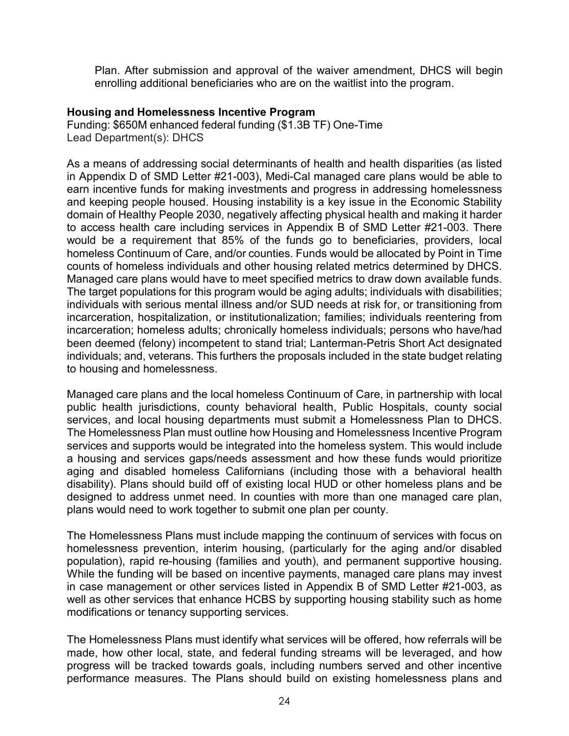Plan. After submission and approval of the waiver amendment, DHCS will begin enrolling additional beneficiaries who are on the waitlist into the program.

#### **Housing and Homelessness Incentive Program**

Funding: \$650M enhanced federal funding (\$1.3B TF) One-Time Lead Department(s): DHCS

As a means of addressing social determinants of health and health disparities (as listed in Appendix D of SMD Letter #21-003), Medi-Cal managed care plans would be able to earn incentive funds for making investments and progress in addressing homelessness and keeping people housed. Housing instability is a key issue in the Economic Stability domain of Healthy People 2030, negatively affecting physical health and making it harder to access health care including services in Appendix B of SMD Letter #21-003. There would be a requirement that 85% of the funds go to beneficiaries, providers, local homeless Continuum of Care, and/or counties. Funds would be allocated by Point in Time counts of homeless individuals and other housing related metrics determined by DHCS. Managed care plans would have to meet specified metrics to draw down available funds. The target populations for this program would be aging adults; individuals with disabilities; individuals with serious mental illness and/or SUD needs at risk for, or transitioning from incarceration, hospitalization, or institutionalization; families; individuals reentering from incarceration; homeless adults; chronically homeless individuals; persons who have/had been deemed (felony) incompetent to stand trial; Lanterman-Petris Short Act designated individuals; and, veterans. This furthers the proposals included in the state budget relating to housing and homelessness.

Managed care plans and the local homeless Continuum of Care, in partnership with local public health jurisdictions, county behavioral health, Public Hospitals, county social services, and local housing departments must submit a Homelessness Plan to DHCS. The Homelessness Plan must outline how Housing and Homelessness Incentive Program services and supports would be integrated into the homeless system. This would include a housing and services gaps/needs assessment and how these funds would prioritize aging and disabled homeless Californians (including those with a behavioral health disability). Plans should build off of existing local HUD or other homeless plans and be designed to address unmet need. In counties with more than one managed care plan, plans would need to work together to submit one plan per county.

The Homelessness Plans must include mapping the continuum of services with focus on homelessness prevention, interim housing, (particularly for the aging and/or disabled population), rapid re-housing (families and youth), and permanent supportive housing. While the funding will be based on incentive payments, managed care plans may invest in case management or other services listed in Appendix B of SMD Letter #21-003, as well as other services that enhance HCBS by supporting housing stability such as home modifications or tenancy supporting services.

The Homelessness Plans must identify what services will be offered, how referrals will be made, how other local, state, and federal funding streams will be leveraged, and how progress will be tracked towards goals, including numbers served and other incentive performance measures. The Plans should build on existing homelessness plans and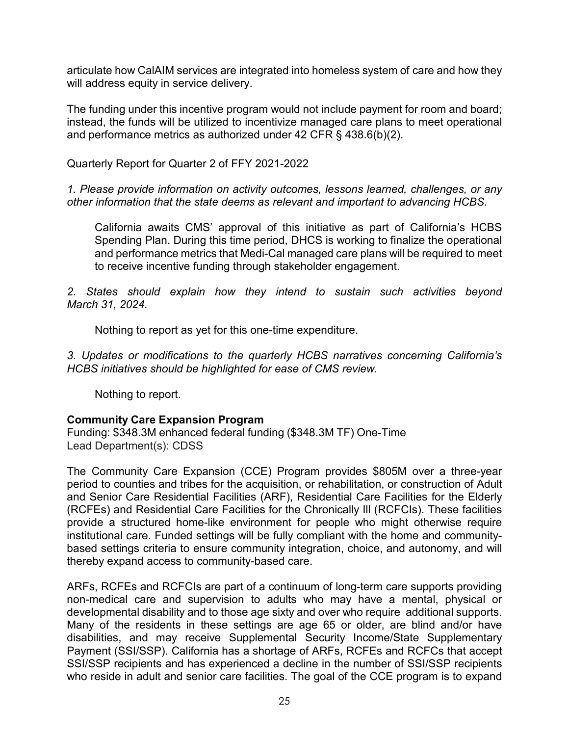articulate how CalAIM services are integrated into homeless system of care and how they will address equity in service delivery.

The funding under this incentive program would not include payment for room and board; instead, the funds will be utilized to incentivize managed care plans to meet operational and performance metrics as authorized under 42 CFR § 438.6(b)(2).

Quarterly Report for Quarter 2 of FFY 2021-2022

*1. Please provide information on activity outcomes, lessons learned, challenges, or any other information that the state deems as relevant and important to advancing HCBS.*

California awaits CMS' approval of this initiative as part of California's HCBS Spending Plan. During this time period, DHCS is working to finalize the operational and performance metrics that Medi-Cal managed care plans will be required to meet to receive incentive funding through stakeholder engagement.

*2. States should explain how they intend to sustain such activities beyond March 31, 2024.*

Nothing to report as yet for this one-time expenditure.

*3. Updates or modifications to the quarterly HCBS narratives concerning California's HCBS initiatives should be highlighted for ease of CMS review.*

Nothing to report.

#### **Community Care Expansion Program**

Funding: \$348.3M enhanced federal funding (\$348.3M TF) One-Time Lead Department(s): CDSS

The Community Care Expansion (CCE) Program provides \$805M over a three-year period to counties and tribes for the acquisition, or rehabilitation, or construction of Adult and Senior Care Residential Facilities (ARF), Residential Care Facilities for the Elderly (RCFEs) and Residential Care Facilities for the Chronically Ill (RCFCIs). These facilities provide a structured home-like environment for people who might otherwise require institutional care. Funded settings will be fully compliant with the home and communitybased settings criteria to ensure community integration, choice, and autonomy, and will thereby expand access to community-based care.

ARFs, RCFEs and RCFCIs are part of a continuum of long-term care supports providing non-medical care and supervision to adults who may have a mental, physical or developmental disability and to those age sixty and over who require additional supports. Many of the residents in these settings are age 65 or older, are blind and/or have disabilities, and may receive Supplemental Security Income/State Supplementary Payment (SSI/SSP). California has a shortage of ARFs, RCFEs and RCFCs that accept SSI/SSP recipients and has experienced a decline in the number of SSI/SSP recipients who reside in adult and senior care facilities. The goal of the CCE program is to expand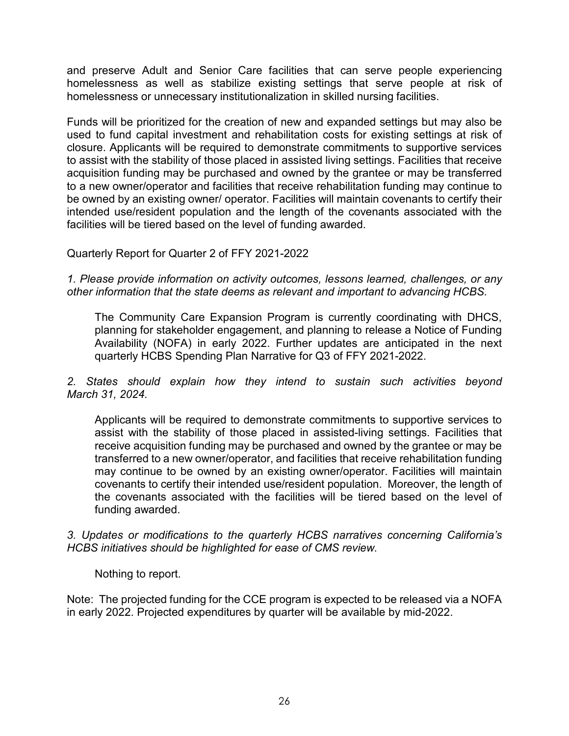and preserve Adult and Senior Care facilities that can serve people experiencing homelessness as well as stabilize existing settings that serve people at risk of homelessness or unnecessary institutionalization in skilled nursing facilities.

Funds will be prioritized for the creation of new and expanded settings but may also be used to fund capital investment and rehabilitation costs for existing settings at risk of closure. Applicants will be required to demonstrate commitments to supportive services to assist with the stability of those placed in assisted living settings. Facilities that receive acquisition funding may be purchased and owned by the grantee or may be transferred to a new owner/operator and facilities that receive rehabilitation funding may continue to be owned by an existing owner/ operator. Facilities will maintain covenants to certify their intended use/resident population and the length of the covenants associated with the facilities will be tiered based on the level of funding awarded.

#### Quarterly Report for Quarter 2 of FFY 2021-2022

*1. Please provide information on activity outcomes, lessons learned, challenges, or any other information that the state deems as relevant and important to advancing HCBS.*

The Community Care Expansion Program is currently coordinating with DHCS, planning for stakeholder engagement, and planning to release a Notice of Funding Availability (NOFA) in early 2022. Further updates are anticipated in the next quarterly HCBS Spending Plan Narrative for Q3 of FFY 2021-2022.

*2. States should explain how they intend to sustain such activities beyond March 31, 2024.*

Applicants will be required to demonstrate commitments to supportive services to assist with the stability of those placed in assisted-living settings. Facilities that receive acquisition funding may be purchased and owned by the grantee or may be transferred to a new owner/operator, and facilities that receive rehabilitation funding may continue to be owned by an existing owner/operator. Facilities will maintain covenants to certify their intended use/resident population. Moreover, the length of the covenants associated with the facilities will be tiered based on the level of funding awarded.

*3. Updates or modifications to the quarterly HCBS narratives concerning California's HCBS initiatives should be highlighted for ease of CMS review.*

Nothing to report.

Note: The projected funding for the CCE program is expected to be released via a NOFA in early 2022. Projected expenditures by quarter will be available by mid-2022.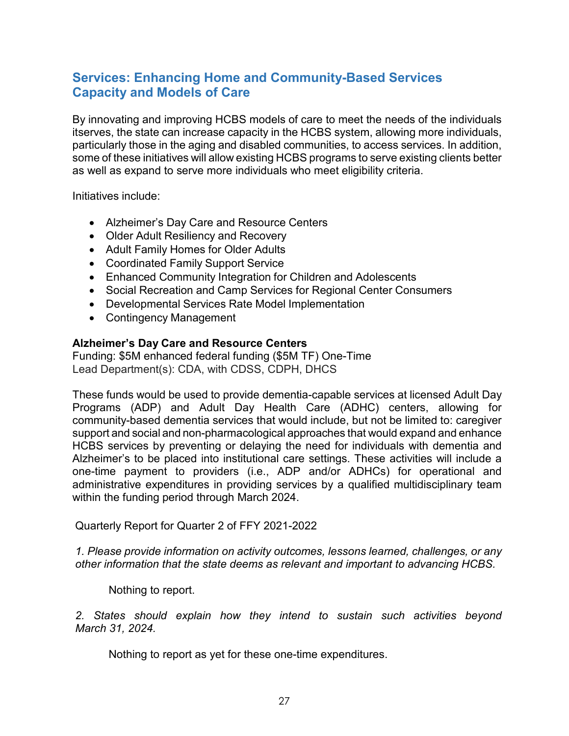### **Services: Enhancing Home and Community-Based Services Capacity and Models of Care**

By innovating and improving HCBS models of care to meet the needs of the individuals itserves, the state can increase capacity in the HCBS system, allowing more individuals, particularly those in the aging and disabled communities, to access services. In addition, some of these initiatives will allow existing HCBS programs to serve existing clients better as well as expand to serve more individuals who meet eligibility criteria.

Initiatives include:

- Alzheimer's Day Care and Resource Centers
- Older Adult Resiliency and Recovery
- Adult Family Homes for Older Adults
- Coordinated Family Support Service
- Enhanced Community Integration for Children and Adolescents
- Social Recreation and Camp Services for Regional Center Consumers
- Developmental Services Rate Model Implementation
- Contingency Management

#### **Alzheimer's Day Care and Resource Centers**

Funding: \$5M enhanced federal funding (\$5M TF) One-Time Lead Department(s): CDA, with CDSS, CDPH, DHCS

These funds would be used to provide dementia-capable services at licensed Adult Day Programs (ADP) and Adult Day Health Care (ADHC) centers, allowing for community-based dementia services that would include, but not be limited to: caregiver support and social and non-pharmacological approaches that would expand and enhance HCBS services by preventing or delaying the need for individuals with dementia and Alzheimer's to be placed into institutional care settings. These activities will include a one-time payment to providers (i.e., ADP and/or ADHCs) for operational and administrative expenditures in providing services by a qualified multidisciplinary team within the funding period through March 2024.

Quarterly Report for Quarter 2 of FFY 2021-2022

*1. Please provide information on activity outcomes, lessons learned, challenges, or any other information that the state deems as relevant and important to advancing HCBS.*

Nothing to report.

*2. States should explain how they intend to sustain such activities beyond March 31, 2024.*

Nothing to report as yet for these one-time expenditures.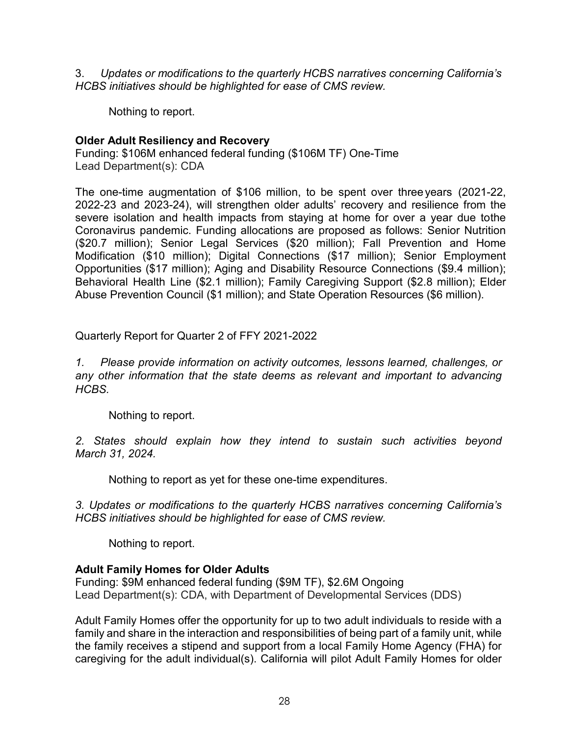3. *Updates or modifications to the quarterly HCBS narratives concerning California's HCBS initiatives should be highlighted for ease of CMS review.*

Nothing to report.

#### **Older Adult Resiliency and Recovery**

Funding: \$106M enhanced federal funding (\$106M TF) One-Time Lead Department(s): CDA

The one-time augmentation of \$106 million, to be spent over threeyears (2021-22, 2022-23 and 2023-24), will strengthen older adults' recovery and resilience from the severe isolation and health impacts from staying at home for over a year due tothe Coronavirus pandemic. Funding allocations are proposed as follows: Senior Nutrition (\$20.7 million); Senior Legal Services (\$20 million); Fall Prevention and Home Modification (\$10 million); Digital Connections (\$17 million); Senior Employment Opportunities (\$17 million); Aging and Disability Resource Connections (\$9.4 million); Behavioral Health Line (\$2.1 million); Family Caregiving Support (\$2.8 million); Elder Abuse Prevention Council (\$1 million); and State Operation Resources (\$6 million).

Quarterly Report for Quarter 2 of FFY 2021-2022

*1. Please provide information on activity outcomes, lessons learned, challenges, or any other information that the state deems as relevant and important to advancing HCBS.*

Nothing to report.

*2. States should explain how they intend to sustain such activities beyond March 31, 2024.*

Nothing to report as yet for these one-time expenditures.

*3. Updates or modifications to the quarterly HCBS narratives concerning California's HCBS initiatives should be highlighted for ease of CMS review.*

Nothing to report.

#### **Adult Family Homes for Older Adults**

Funding: \$9M enhanced federal funding (\$9M TF), \$2.6M Ongoing Lead Department(s): CDA, with Department of Developmental Services (DDS)

Adult Family Homes offer the opportunity for up to two adult individuals to reside with a family and share in the interaction and responsibilities of being part of a family unit, while the family receives a stipend and support from a local Family Home Agency (FHA) for caregiving for the adult individual(s). California will pilot Adult Family Homes for older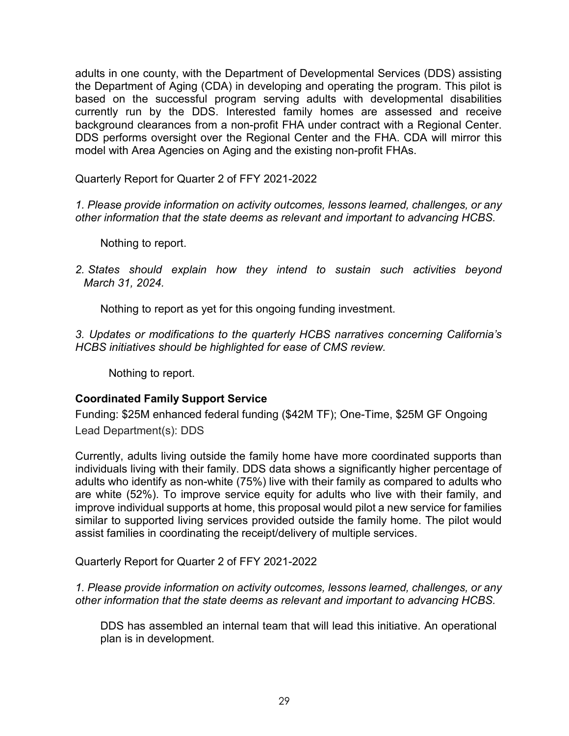adults in one county, with the Department of Developmental Services (DDS) assisting the Department of Aging (CDA) in developing and operating the program. This pilot is based on the successful program serving adults with developmental disabilities currently run by the DDS. Interested family homes are assessed and receive background clearances from a non-profit FHA under contract with a Regional Center. DDS performs oversight over the Regional Center and the FHA. CDA will mirror this model with Area Agencies on Aging and the existing non-profit FHAs.

Quarterly Report for Quarter 2 of FFY 2021-2022

*1. Please provide information on activity outcomes, lessons learned, challenges, or any other information that the state deems as relevant and important to advancing HCBS.*

Nothing to report.

*2. States should explain how they intend to sustain such activities beyond March 31, 2024.*

Nothing to report as yet for this ongoing funding investment.

*3. Updates or modifications to the quarterly HCBS narratives concerning California's HCBS initiatives should be highlighted for ease of CMS review.*

Nothing to report.

#### **Coordinated Family Support Service**

Funding: \$25M enhanced federal funding (\$42M TF); One-Time, \$25M GF Ongoing Lead Department(s): DDS

Currently, adults living outside the family home have more coordinated supports than individuals living with their family. DDS data shows a significantly higher percentage of adults who identify as non-white (75%) live with their family as compared to adults who are white (52%). To improve service equity for adults who live with their family, and improve individual supports at home, this proposal would pilot a new service for families similar to supported living services provided outside the family home. The pilot would assist families in coordinating the receipt/delivery of multiple services.

Quarterly Report for Quarter 2 of FFY 2021-2022

*1. Please provide information on activity outcomes, lessons learned, challenges, or any other information that the state deems as relevant and important to advancing HCBS.*

DDS has assembled an internal team that will lead this initiative. An operational plan is in development.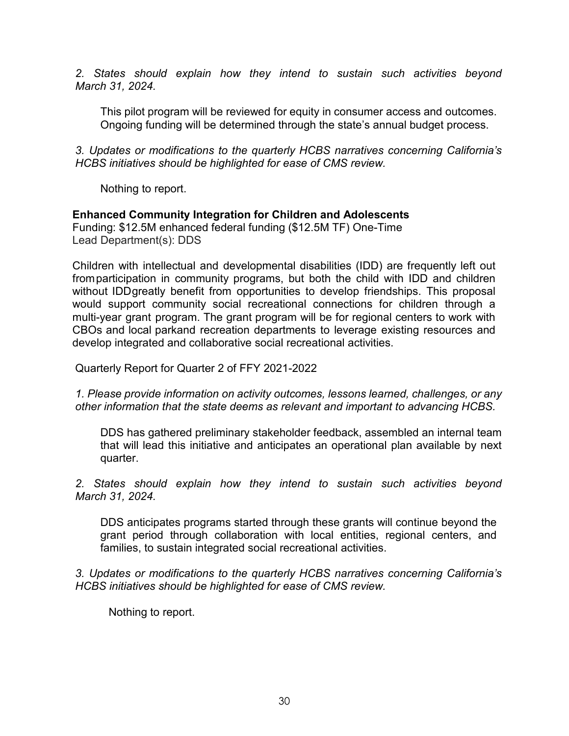*2. States should explain how they intend to sustain such activities beyond March 31, 2024.*

This pilot program will be reviewed for equity in consumer access and outcomes. Ongoing funding will be determined through the state's annual budget process.

*3. Updates or modifications to the quarterly HCBS narratives concerning California's HCBS initiatives should be highlighted for ease of CMS review.*

Nothing to report.

#### **Enhanced Community Integration for Children and Adolescents**

Funding: \$12.5M enhanced federal funding (\$12.5M TF) One-Time Lead Department(s): DDS

Children with intellectual and developmental disabilities (IDD) are frequently left out fromparticipation in community programs, but both the child with IDD and children without IDDgreatly benefit from opportunities to develop friendships. This proposal would support community social recreational connections for children through a multi-year grant program. The grant program will be for regional centers to work with CBOs and local parkand recreation departments to leverage existing resources and develop integrated and collaborative social recreational activities.

Quarterly Report for Quarter 2 of FFY 2021-2022

*1. Please provide information on activity outcomes, lessons learned, challenges, or any other information that the state deems as relevant and important to advancing HCBS.*

DDS has gathered preliminary stakeholder feedback, assembled an internal team that will lead this initiative and anticipates an operational plan available by next quarter.

*2. States should explain how they intend to sustain such activities beyond March 31, 2024.*

DDS anticipates programs started through these grants will continue beyond the grant period through collaboration with local entities, regional centers, and families, to sustain integrated social recreational activities.

*3. Updates or modifications to the quarterly HCBS narratives concerning California's HCBS initiatives should be highlighted for ease of CMS review.*

Nothing to report.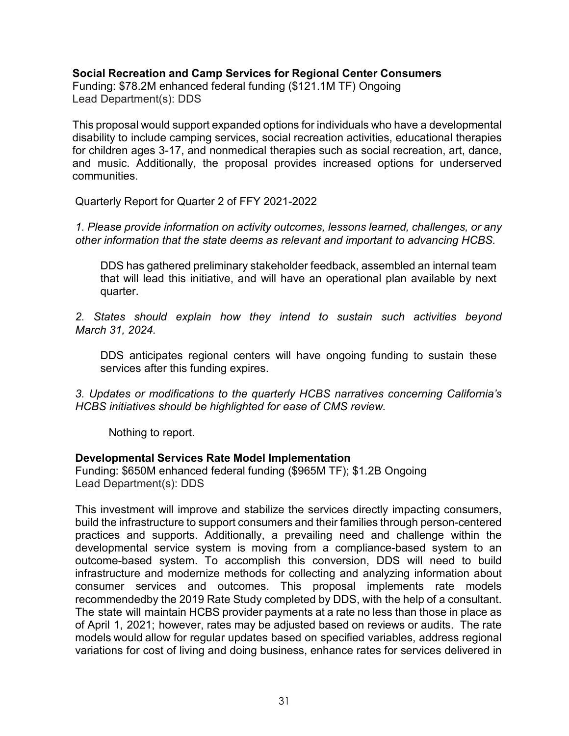#### **Social Recreation and Camp Services for Regional Center Consumers**

Funding: \$78.2M enhanced federal funding (\$121.1M TF) Ongoing Lead Department(s): DDS

This proposal would support expanded options for individuals who have a developmental disability to include camping services, social recreation activities, educational therapies for children ages 3-17, and nonmedical therapies such as social recreation, art, dance, and music. Additionally, the proposal provides increased options for underserved communities.

Quarterly Report for Quarter 2 of FFY 2021-2022

*1. Please provide information on activity outcomes, lessons learned, challenges, or any other information that the state deems as relevant and important to advancing HCBS.*

DDS has gathered preliminary stakeholder feedback, assembled an internal team that will lead this initiative, and will have an operational plan available by next quarter.

*2. States should explain how they intend to sustain such activities beyond March 31, 2024.*

DDS anticipates regional centers will have ongoing funding to sustain these services after this funding expires.

*3. Updates or modifications to the quarterly HCBS narratives concerning California's HCBS initiatives should be highlighted for ease of CMS review.*

Nothing to report.

#### **Developmental Services Rate Model Implementation**

Funding: \$650M enhanced federal funding (\$965M TF); \$1.2B Ongoing Lead Department(s): DDS

This investment will improve and stabilize the services directly impacting consumers, build the infrastructure to support consumers and their families through person-centered practices and supports. Additionally, a prevailing need and challenge within the developmental service system is moving from a compliance-based system to an outcome-based system. To accomplish this conversion, DDS will need to build infrastructure and modernize methods for collecting and analyzing information about consumer services and outcomes. This proposal implements rate models recommendedby the 2019 Rate Study completed by DDS, with the help of a consultant. The state will maintain HCBS provider payments at a rate no less than those in place as of April 1, 2021; however, rates may be adjusted based on reviews or audits. The rate models would allow for regular updates based on specified variables, address regional variations for cost of living and doing business, enhance rates for services delivered in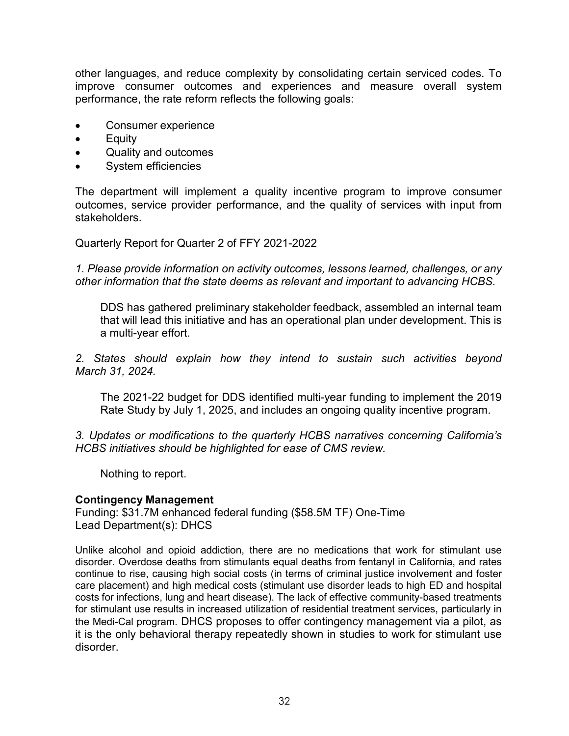other languages, and reduce complexity by consolidating certain serviced codes. To improve consumer outcomes and experiences and measure overall system performance, the rate reform reflects the following goals:

- Consumer experience
- Equity
- Quality and outcomes
- System efficiencies

The department will implement a quality incentive program to improve consumer outcomes, service provider performance, and the quality of services with input from stakeholders.

Quarterly Report for Quarter 2 of FFY 2021-2022

*1. Please provide information on activity outcomes, lessons learned, challenges, or any other information that the state deems as relevant and important to advancing HCBS.*

DDS has gathered preliminary stakeholder feedback, assembled an internal team that will lead this initiative and has an operational plan under development. This is a multi-year effort.

*2. States should explain how they intend to sustain such activities beyond March 31, 2024.*

The 2021-22 budget for DDS identified multi-year funding to implement the 2019 Rate Study by July 1, 2025, and includes an ongoing quality incentive program.

*3. Updates or modifications to the quarterly HCBS narratives concerning California's HCBS initiatives should be highlighted for ease of CMS review.*

Nothing to report.

#### **Contingency Management**

Funding: \$31.7M enhanced federal funding (\$58.5M TF) One-Time Lead Department(s): DHCS

Unlike alcohol and opioid addiction, there are no medications that work for stimulant use disorder. Overdose deaths from stimulants equal deaths from fentanyl in California, and rates continue to rise, causing high social costs (in terms of criminal justice involvement and foster care placement) and high medical costs (stimulant use disorder leads to high ED and hospital costs for infections, lung and heart disease). The lack of effective community-based treatments for stimulant use results in increased utilization of residential treatment services, particularly in the Medi-Cal program. DHCS proposes to offer contingency management via a pilot, as it is the only behavioral therapy repeatedly shown in studies to work for stimulant use disorder.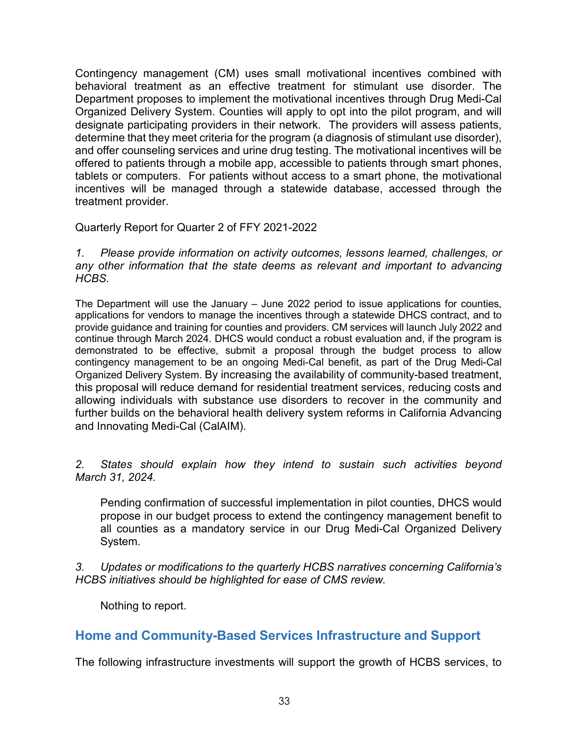Contingency management (CM) uses small motivational incentives combined with behavioral treatment as an effective treatment for stimulant use disorder. The Department proposes to implement the motivational incentives through Drug Medi-Cal Organized Delivery System. Counties will apply to opt into the pilot program, and will designate participating providers in their network. The providers will assess patients, determine that they meet criteria for the program (a diagnosis of stimulant use disorder), and offer counseling services and urine drug testing. The motivational incentives will be offered to patients through a mobile app, accessible to patients through smart phones, tablets or computers. For patients without access to a smart phone, the motivational incentives will be managed through a statewide database, accessed through the treatment provider.

Quarterly Report for Quarter 2 of FFY 2021-2022

*1. Please provide information on activity outcomes, lessons learned, challenges, or any other information that the state deems as relevant and important to advancing HCBS.*

The Department will use the January – June 2022 period to issue applications for counties, applications for vendors to manage the incentives through a statewide DHCS contract, and to provide guidance and training for counties and providers. CM services will launch July 2022 and continue through March 2024. DHCS would conduct a robust evaluation and, if the program is demonstrated to be effective, submit a proposal through the budget process to allow contingency management to be an ongoing Medi-Cal benefit, as part of the Drug Medi-Cal Organized Delivery System. By increasing the availability of community-based treatment, this proposal will reduce demand for residential treatment services, reducing costs and allowing individuals with substance use disorders to recover in the community and further builds on the behavioral health delivery system reforms in California Advancing and Innovating Medi-Cal (CalAIM).

*2. States should explain how they intend to sustain such activities beyond March 31, 2024.*

Pending confirmation of successful implementation in pilot counties, DHCS would propose in our budget process to extend the contingency management benefit to all counties as a mandatory service in our Drug Medi-Cal Organized Delivery System.

*3. Updates or modifications to the quarterly HCBS narratives concerning California's HCBS initiatives should be highlighted for ease of CMS review.*

Nothing to report.

### **Home and Community-Based Services Infrastructure and Support**

The following infrastructure investments will support the growth of HCBS services, to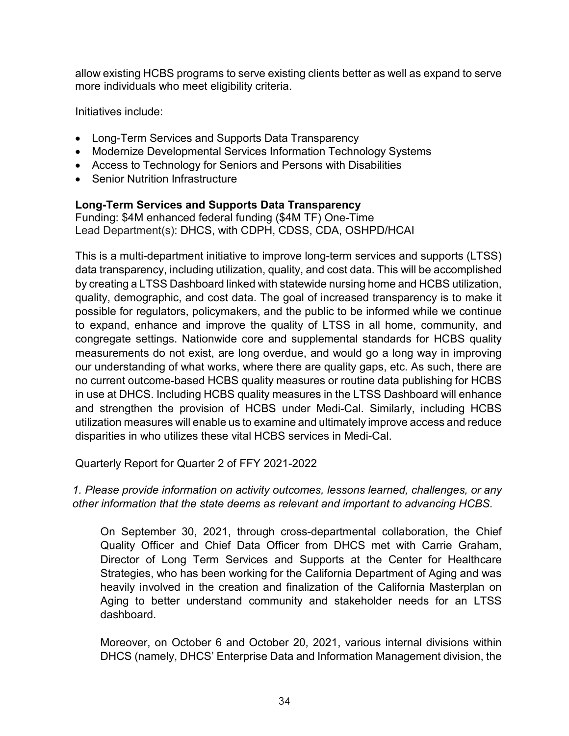allow existing HCBS programs to serve existing clients better as well as expand to serve more individuals who meet eligibility criteria.

Initiatives include:

- Long-Term Services and Supports Data Transparency
- Modernize Developmental Services Information Technology Systems
- Access to Technology for Seniors and Persons with Disabilities
- Senior Nutrition Infrastructure

#### **Long-Term Services and Supports Data Transparency**

Funding: \$4M enhanced federal funding (\$4M TF) One-Time Lead Department(s): DHCS, with CDPH, CDSS, CDA, OSHPD/HCAI

This is a multi-department initiative to improve long-term services and supports (LTSS) data transparency, including utilization, quality, and cost data. This will be accomplished by creating a LTSS Dashboard linked with statewide nursing home and HCBS utilization, quality, demographic, and cost data. The goal of increased transparency is to make it possible for regulators, policymakers, and the public to be informed while we continue to expand, enhance and improve the quality of LTSS in all home, community, and congregate settings. Nationwide core and supplemental standards for HCBS quality measurements do not exist, are long overdue, and would go a long way in improving our understanding of what works, where there are quality gaps, etc. As such, there are no current outcome-based HCBS quality measures or routine data publishing for HCBS in use at DHCS. Including HCBS quality measures in the LTSS Dashboard will enhance and strengthen the provision of HCBS under Medi-Cal. Similarly, including HCBS utilization measures will enable us to examine and ultimately improve access and reduce disparities in who utilizes these vital HCBS services in Medi-Cal.

Quarterly Report for Quarter 2 of FFY 2021-2022

*1. Please provide information on activity outcomes, lessons learned, challenges, or any other information that the state deems as relevant and important to advancing HCBS.*

On September 30, 2021, through cross-departmental collaboration, the Chief Quality Officer and Chief Data Officer from DHCS met with Carrie Graham, Director of Long Term Services and Supports at the Center for Healthcare Strategies, who has been working for the California Department of Aging and was heavily involved in the creation and finalization of the California Masterplan on Aging to better understand community and stakeholder needs for an LTSS dashboard.

Moreover, on October 6 and October 20, 2021, various internal divisions within DHCS (namely, DHCS' Enterprise Data and Information Management division, the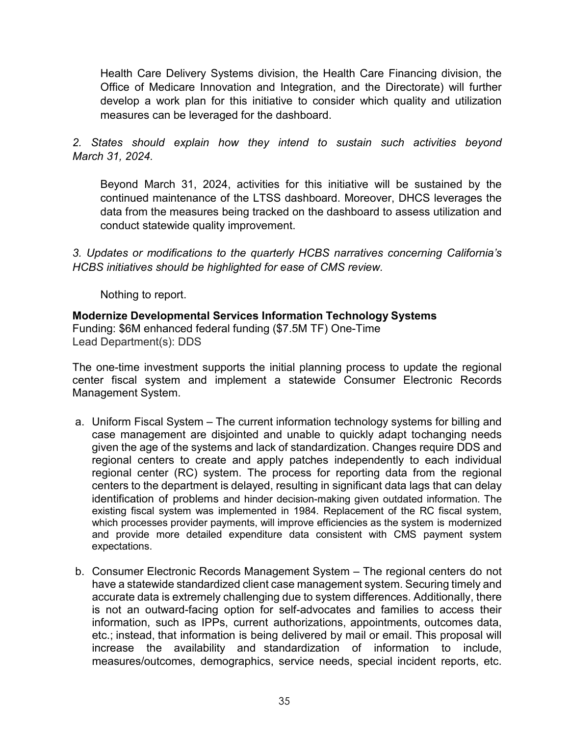Health Care Delivery Systems division, the Health Care Financing division, the Office of Medicare Innovation and Integration, and the Directorate) will further develop a work plan for this initiative to consider which quality and utilization measures can be leveraged for the dashboard.

*2. States should explain how they intend to sustain such activities beyond March 31, 2024.*

Beyond March 31, 2024, activities for this initiative will be sustained by the continued maintenance of the LTSS dashboard. Moreover, DHCS leverages the data from the measures being tracked on the dashboard to assess utilization and conduct statewide quality improvement.

*3. Updates or modifications to the quarterly HCBS narratives concerning California's HCBS initiatives should be highlighted for ease of CMS review.*

Nothing to report.

**Modernize Developmental Services Information Technology Systems** Funding: \$6M enhanced federal funding (\$7.5M TF) One-Time Lead Department(s): DDS

The one-time investment supports the initial planning process to update the regional center fiscal system and implement a statewide Consumer Electronic Records Management System.

- a. Uniform Fiscal System The current information technology systems for billing and case management are disjointed and unable to quickly adapt tochanging needs given the age of the systems and lack of standardization. Changes require DDS and regional centers to create and apply patches independently to each individual regional center (RC) system. The process for reporting data from the regional centers to the department is delayed, resulting in significant data lags that can delay identification of problems and hinder decision-making given outdated information. The existing fiscal system was implemented in 1984. Replacement of the RC fiscal system, which processes provider payments, will improve efficiencies as the system is modernized and provide more detailed expenditure data consistent with CMS payment system expectations.
- b. Consumer Electronic Records Management System The regional centers do not have a statewide standardized client case management system. Securing timely and accurate data is extremely challenging due to system differences. Additionally, there is not an outward-facing option for self-advocates and families to access their information, such as IPPs, current authorizations, appointments, outcomes data, etc.; instead, that information is being delivered by mail or email. This proposal will increase the availability and standardization of information to include, measures/outcomes, demographics, service needs, special incident reports, etc.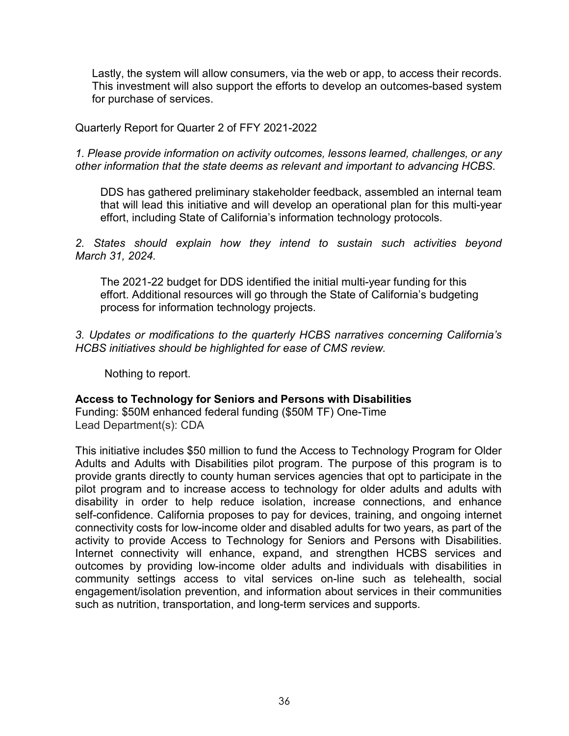Lastly, the system will allow consumers, via the web or app, to access their records. This investment will also support the efforts to develop an outcomes-based system for purchase of services.

Quarterly Report for Quarter 2 of FFY 2021-2022

*1. Please provide information on activity outcomes, lessons learned, challenges, or any other information that the state deems as relevant and important to advancing HCBS.*

DDS has gathered preliminary stakeholder feedback, assembled an internal team that will lead this initiative and will develop an operational plan for this multi-year effort, including State of California's information technology protocols.

*2. States should explain how they intend to sustain such activities beyond March 31, 2024.*

The 2021-22 budget for DDS identified the initial multi-year funding for this effort. Additional resources will go through the State of California's budgeting process for information technology projects.

*3. Updates or modifications to the quarterly HCBS narratives concerning California's HCBS initiatives should be highlighted for ease of CMS review.*

Nothing to report.

**Access to Technology for Seniors and Persons with Disabilities**

Funding: \$50M enhanced federal funding (\$50M TF) One-Time Lead Department(s): CDA

This initiative includes \$50 million to fund the Access to Technology Program for Older Adults and Adults with Disabilities pilot program. The purpose of this program is to provide grants directly to county human services agencies that opt to participate in the pilot program and to increase access to technology for older adults and adults with disability in order to help reduce isolation, increase connections, and enhance self-confidence. California proposes to pay for devices, training, and ongoing internet connectivity costs for low-income older and disabled adults for two years, as part of the activity to provide Access to Technology for Seniors and Persons with Disabilities. Internet connectivity will enhance, expand, and strengthen HCBS services and outcomes by providing low-income older adults and individuals with disabilities in community settings access to vital services on-line such as telehealth, social engagement/isolation prevention, and information about services in their communities such as nutrition, transportation, and long-term services and supports.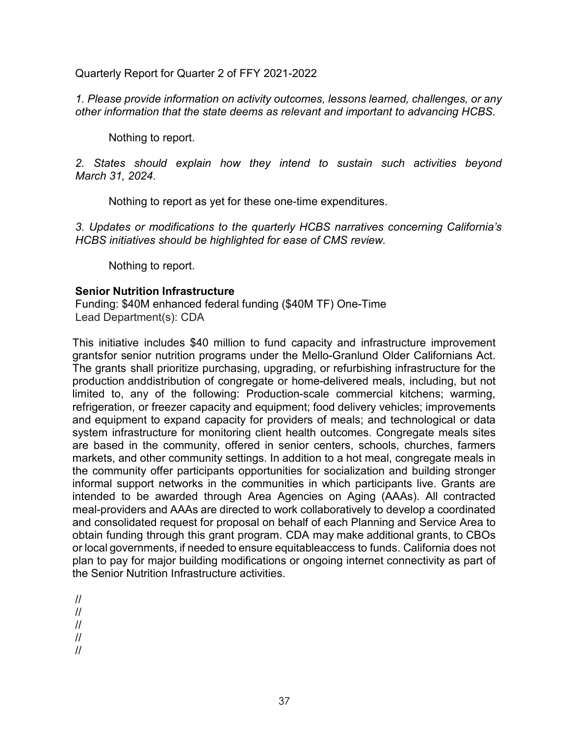Quarterly Report for Quarter 2 of FFY 2021-2022

*1. Please provide information on activity outcomes, lessons learned, challenges, or any other information that the state deems as relevant and important to advancing HCBS.*

Nothing to report.

*2. States should explain how they intend to sustain such activities beyond March 31, 2024*.

Nothing to report as yet for these one-time expenditures.

*3. Updates or modifications to the quarterly HCBS narratives concerning California's HCBS initiatives should be highlighted for ease of CMS review.*

Nothing to report.

#### **Senior Nutrition Infrastructure**

Funding: \$40M enhanced federal funding (\$40M TF) One-Time Lead Department(s): CDA

This initiative includes \$40 million to fund capacity and infrastructure improvement grantsfor senior nutrition programs under the Mello-Granlund Older Californians Act. The grants shall prioritize purchasing, upgrading, or refurbishing infrastructure for the production anddistribution of congregate or home-delivered meals, including, but not limited to, any of the following: Production-scale commercial kitchens; warming, refrigeration, or freezer capacity and equipment; food delivery vehicles; improvements and equipment to expand capacity for providers of meals; and technological or data system infrastructure for monitoring client health outcomes. Congregate meals sites are based in the community, offered in senior centers, schools, churches, farmers markets, and other community settings. In addition to a hot meal, congregate meals in the community offer participants opportunities for socialization and building stronger informal support networks in the communities in which participants live. Grants are intended to be awarded through Area Agencies on Aging (AAAs). All contracted meal-providers and AAAs are directed to work collaboratively to develop a coordinated and consolidated request for proposal on behalf of each Planning and Service Area to obtain funding through this grant program. CDA may make additional grants, to CBOs or local governments, if needed to ensure equitableaccess to funds. California does not plan to pay for major building modifications or ongoing internet connectivity as part of the Senior Nutrition Infrastructure activities.

//

//

//

//

//